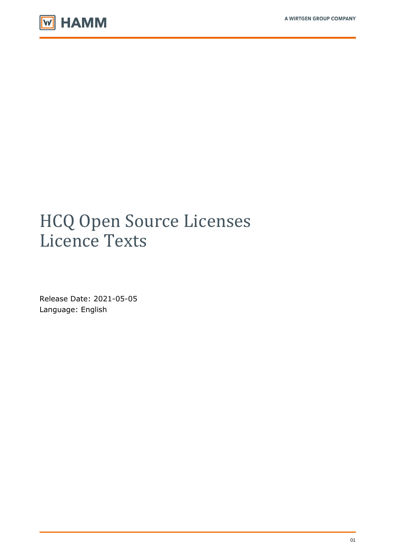

# HCQ Open Source Licenses Licence Texts

Release Date: 2021-05-05 Language: English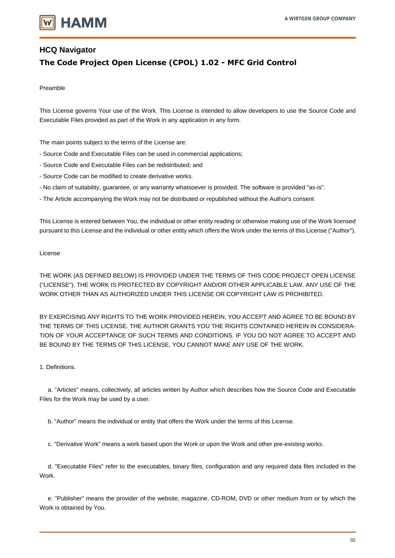

## **HCQ Navigator The Code Project Open License (CPOL) 1.02 - MFC Grid Control**

Preamble

This License governs Your use of the Work. This License is intended to allow developers to use the Source Code and Executable Files provided as part of the Work in any application in any form.

The main points subject to the terms of the License are:

- Source Code and Executable Files can be used in commercial applications;
- Source Code and Executable Files can be redistributed; and
- Source Code can be modified to create derivative works.
- No claim of suitability, guarantee, or any warranty whatsoever is provided. The software is provided "as-is".
- The Article accompanying the Work may not be distributed or republished without the Author's consent

This License is entered between You, the individual or other entity reading or otherwise making use of the Work licensed pursuant to this License and the individual or other entity which offers the Work under the terms of this License ("Author").

#### License

THE WORK (AS DEFINED BELOW) IS PROVIDED UNDER THE TERMS OF THIS CODE PROJECT OPEN LICENSE ("LICENSE"). THE WORK IS PROTECTED BY COPYRIGHT AND/OR OTHER APPLICABLE LAW. ANY USE OF THE WORK OTHER THAN AS AUTHORIZED UNDER THIS LICENSE OR COPYRIGHT LAW IS PROHIBITED.

BY EXERCISING ANY RIGHTS TO THE WORK PROVIDED HEREIN, YOU ACCEPT AND AGREE TO BE BOUND BY THE TERMS OF THIS LICENSE. THE AUTHOR GRANTS YOU THE RIGHTS CONTAINED HEREIN IN CONSIDERA-TION OF YOUR ACCEPTANCE OF SUCH TERMS AND CONDITIONS. IF YOU DO NOT AGREE TO ACCEPT AND BE BOUND BY THE TERMS OF THIS LICENSE, YOU CANNOT MAKE ANY USE OF THE WORK.

### 1. Definitions.

 a. "Articles" means, collectively, all articles written by Author which describes how the Source Code and Executable Files for the Work may be used by a user.

b. "Author" means the individual or entity that offers the Work under the terms of this License.

c. "Derivative Work" means a work based upon the Work or upon the Work and other pre-existing works.

 d. "Executable Files" refer to the executables, binary files, configuration and any required data files included in the Work.

 e. "Publisher" means the provider of the website, magazine, CD-ROM, DVD or other medium from or by which the Work is obtained by You.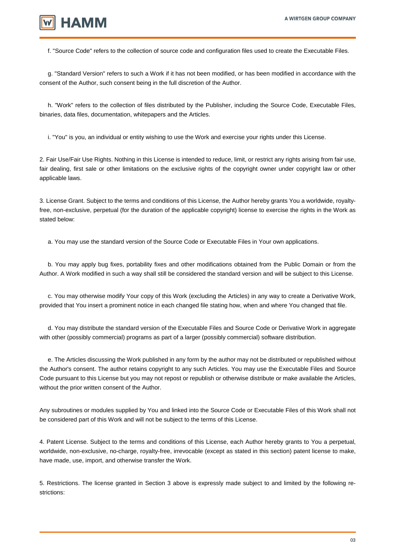

f. "Source Code" refers to the collection of source code and configuration files used to create the Executable Files.

 g. "Standard Version" refers to such a Work if it has not been modified, or has been modified in accordance with the consent of the Author, such consent being in the full discretion of the Author.

 h. "Work" refers to the collection of files distributed by the Publisher, including the Source Code, Executable Files, binaries, data files, documentation, whitepapers and the Articles.

i. "You" is you, an individual or entity wishing to use the Work and exercise your rights under this License.

2. Fair Use/Fair Use Rights. Nothing in this License is intended to reduce, limit, or restrict any rights arising from fair use, fair dealing, first sale or other limitations on the exclusive rights of the copyright owner under copyright law or other applicable laws.

3. License Grant. Subject to the terms and conditions of this License, the Author hereby grants You a worldwide, royaltyfree, non-exclusive, perpetual (for the duration of the applicable copyright) license to exercise the rights in the Work as stated below:

a. You may use the standard version of the Source Code or Executable Files in Your own applications.

 b. You may apply bug fixes, portability fixes and other modifications obtained from the Public Domain or from the Author. A Work modified in such a way shall still be considered the standard version and will be subject to this License.

 c. You may otherwise modify Your copy of this Work (excluding the Articles) in any way to create a Derivative Work, provided that You insert a prominent notice in each changed file stating how, when and where You changed that file.

 d. You may distribute the standard version of the Executable Files and Source Code or Derivative Work in aggregate with other (possibly commercial) programs as part of a larger (possibly commercial) software distribution.

 e. The Articles discussing the Work published in any form by the author may not be distributed or republished without the Author's consent. The author retains copyright to any such Articles. You may use the Executable Files and Source Code pursuant to this License but you may not repost or republish or otherwise distribute or make available the Articles, without the prior written consent of the Author.

Any subroutines or modules supplied by You and linked into the Source Code or Executable Files of this Work shall not be considered part of this Work and will not be subject to the terms of this License.

4. Patent License. Subject to the terms and conditions of this License, each Author hereby grants to You a perpetual, worldwide, non-exclusive, no-charge, royalty-free, irrevocable (except as stated in this section) patent license to make, have made, use, import, and otherwise transfer the Work.

5. Restrictions. The license granted in Section 3 above is expressly made subject to and limited by the following restrictions: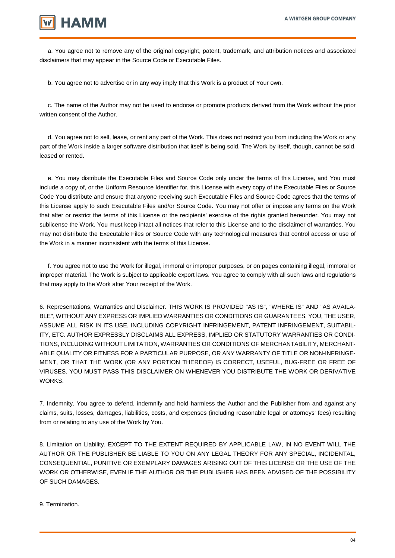

b. You agree not to advertise or in any way imply that this Work is a product of Your own.

**HAMM** 

 c. The name of the Author may not be used to endorse or promote products derived from the Work without the prior written consent of the Author.

 d. You agree not to sell, lease, or rent any part of the Work. This does not restrict you from including the Work or any part of the Work inside a larger software distribution that itself is being sold. The Work by itself, though, cannot be sold, leased or rented.

 e. You may distribute the Executable Files and Source Code only under the terms of this License, and You must include a copy of, or the Uniform Resource Identifier for, this License with every copy of the Executable Files or Source Code You distribute and ensure that anyone receiving such Executable Files and Source Code agrees that the terms of this License apply to such Executable Files and/or Source Code. You may not offer or impose any terms on the Work that alter or restrict the terms of this License or the recipients' exercise of the rights granted hereunder. You may not sublicense the Work. You must keep intact all notices that refer to this License and to the disclaimer of warranties. You may not distribute the Executable Files or Source Code with any technological measures that control access or use of the Work in a manner inconsistent with the terms of this License.

 f. You agree not to use the Work for illegal, immoral or improper purposes, or on pages containing illegal, immoral or improper material. The Work is subject to applicable export laws. You agree to comply with all such laws and regulations that may apply to the Work after Your receipt of the Work.

6. Representations, Warranties and Disclaimer. THIS WORK IS PROVIDED "AS IS", "WHERE IS" AND "AS AVAILA-BLE", WITHOUT ANY EXPRESS OR IMPLIED WARRANTIES OR CONDITIONS OR GUARANTEES. YOU, THE USER, ASSUME ALL RISK IN ITS USE, INCLUDING COPYRIGHT INFRINGEMENT, PATENT INFRINGEMENT, SUITABIL-ITY, ETC. AUTHOR EXPRESSLY DISCLAIMS ALL EXPRESS, IMPLIED OR STATUTORY WARRANTIES OR CONDI-TIONS, INCLUDING WITHOUT LIMITATION, WARRANTIES OR CONDITIONS OF MERCHANTABILITY, MERCHANT-ABLE QUALITY OR FITNESS FOR A PARTICULAR PURPOSE, OR ANY WARRANTY OF TITLE OR NON-INFRINGE-MENT, OR THAT THE WORK (OR ANY PORTION THEREOF) IS CORRECT, USEFUL, BUG-FREE OR FREE OF VIRUSES. YOU MUST PASS THIS DISCLAIMER ON WHENEVER YOU DISTRIBUTE THE WORK OR DERIVATIVE WORKS.

7. Indemnity. You agree to defend, indemnify and hold harmless the Author and the Publisher from and against any claims, suits, losses, damages, liabilities, costs, and expenses (including reasonable legal or attorneys' fees) resulting from or relating to any use of the Work by You.

8. Limitation on Liability. EXCEPT TO THE EXTENT REQUIRED BY APPLICABLE LAW, IN NO EVENT WILL THE AUTHOR OR THE PUBLISHER BE LIABLE TO YOU ON ANY LEGAL THEORY FOR ANY SPECIAL, INCIDENTAL, CONSEQUENTIAL, PUNITIVE OR EXEMPLARY DAMAGES ARISING OUT OF THIS LICENSE OR THE USE OF THE WORK OR OTHERWISE, EVEN IF THE AUTHOR OR THE PUBLISHER HAS BEEN ADVISED OF THE POSSIBILITY OF SUCH DAMAGES.

### 9. Termination.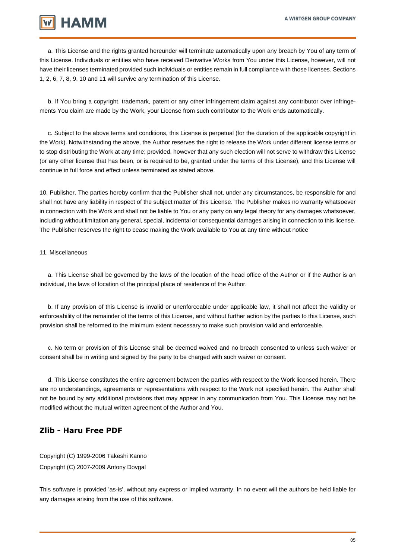

 a. This License and the rights granted hereunder will terminate automatically upon any breach by You of any term of this License. Individuals or entities who have received Derivative Works from You under this License, however, will not have their licenses terminated provided such individuals or entities remain in full compliance with those licenses. Sections 1, 2, 6, 7, 8, 9, 10 and 11 will survive any termination of this License.

 b. If You bring a copyright, trademark, patent or any other infringement claim against any contributor over infringements You claim are made by the Work, your License from such contributor to the Work ends automatically.

 c. Subject to the above terms and conditions, this License is perpetual (for the duration of the applicable copyright in the Work). Notwithstanding the above, the Author reserves the right to release the Work under different license terms or to stop distributing the Work at any time; provided, however that any such election will not serve to withdraw this License (or any other license that has been, or is required to be, granted under the terms of this License), and this License will continue in full force and effect unless terminated as stated above.

10. Publisher. The parties hereby confirm that the Publisher shall not, under any circumstances, be responsible for and shall not have any liability in respect of the subject matter of this License. The Publisher makes no warranty whatsoever in connection with the Work and shall not be liable to You or any party on any legal theory for any damages whatsoever, including without limitation any general, special, incidental or consequential damages arising in connection to this license. The Publisher reserves the right to cease making the Work available to You at any time without notice

#### 11. Miscellaneous

 a. This License shall be governed by the laws of the location of the head office of the Author or if the Author is an individual, the laws of location of the principal place of residence of the Author.

 b. If any provision of this License is invalid or unenforceable under applicable law, it shall not affect the validity or enforceability of the remainder of the terms of this License, and without further action by the parties to this License, such provision shall be reformed to the minimum extent necessary to make such provision valid and enforceable.

 c. No term or provision of this License shall be deemed waived and no breach consented to unless such waiver or consent shall be in writing and signed by the party to be charged with such waiver or consent.

 d. This License constitutes the entire agreement between the parties with respect to the Work licensed herein. There are no understandings, agreements or representations with respect to the Work not specified herein. The Author shall not be bound by any additional provisions that may appear in any communication from You. This License may not be modified without the mutual written agreement of the Author and You.

### **Zlib - Haru Free PDF**

Copyright (C) 1999-2006 Takeshi Kanno Copyright (C) 2007-2009 Antony Dovgal

This software is provided 'as-is', without any express or implied warranty. In no event will the authors be held liable for any damages arising from the use of this software.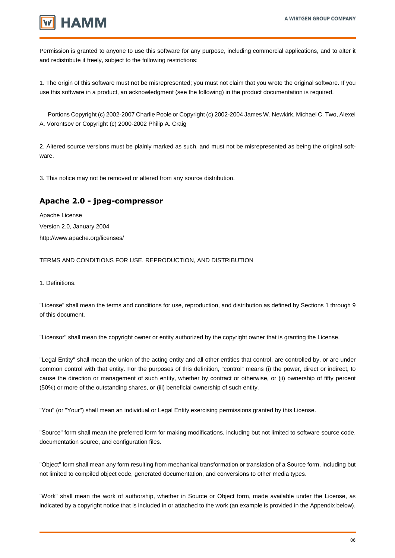

Permission is granted to anyone to use this software for any purpose, including commercial applications, and to alter it and redistribute it freely, subject to the following restrictions:

1. The origin of this software must not be misrepresented; you must not claim that you wrote the original software. If you use this software in a product, an acknowledgment (see the following) in the product documentation is required.

 Portions Copyright (c) 2002-2007 Charlie Poole or Copyright (c) 2002-2004 James W. Newkirk, Michael C. Two, Alexei A. Vorontsov or Copyright (c) 2000-2002 Philip A. Craig

2. Altered source versions must be plainly marked as such, and must not be misrepresented as being the original software.

3. This notice may not be removed or altered from any source distribution.

## **Apache 2.0 - jpeg-compressor**

Apache License Version 2.0, January 2004 http://www.apache.org/licenses/

TERMS AND CONDITIONS FOR USE, REPRODUCTION, AND DISTRIBUTION

1. Definitions.

"License" shall mean the terms and conditions for use, reproduction, and distribution as defined by Sections 1 through 9 of this document.

"Licensor" shall mean the copyright owner or entity authorized by the copyright owner that is granting the License.

"Legal Entity" shall mean the union of the acting entity and all other entities that control, are controlled by, or are under common control with that entity. For the purposes of this definition, "control" means (i) the power, direct or indirect, to cause the direction or management of such entity, whether by contract or otherwise, or (ii) ownership of fifty percent (50%) or more of the outstanding shares, or (iii) beneficial ownership of such entity.

"You" (or "Your") shall mean an individual or Legal Entity exercising permissions granted by this License.

"Source" form shall mean the preferred form for making modifications, including but not limited to software source code, documentation source, and configuration files.

"Object" form shall mean any form resulting from mechanical transformation or translation of a Source form, including but not limited to compiled object code, generated documentation, and conversions to other media types.

"Work" shall mean the work of authorship, whether in Source or Object form, made available under the License, as indicated by a copyright notice that is included in or attached to the work (an example is provided in the Appendix below).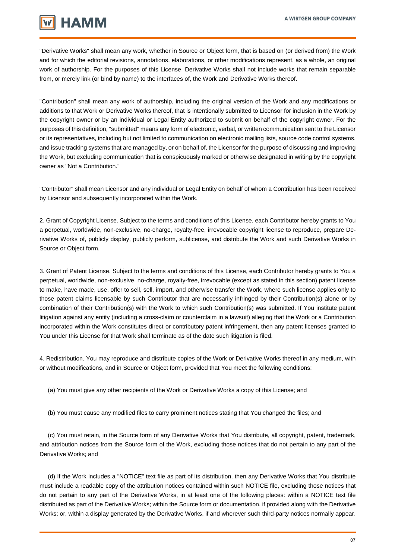

"Derivative Works" shall mean any work, whether in Source or Object form, that is based on (or derived from) the Work and for which the editorial revisions, annotations, elaborations, or other modifications represent, as a whole, an original work of authorship. For the purposes of this License, Derivative Works shall not include works that remain separable from, or merely link (or bind by name) to the interfaces of, the Work and Derivative Works thereof.

"Contribution" shall mean any work of authorship, including the original version of the Work and any modifications or additions to that Work or Derivative Works thereof, that is intentionally submitted to Licensor for inclusion in the Work by the copyright owner or by an individual or Legal Entity authorized to submit on behalf of the copyright owner. For the purposes of this definition, "submitted" means any form of electronic, verbal, or written communication sent to the Licensor or its representatives, including but not limited to communication on electronic mailing lists, source code control systems, and issue tracking systems that are managed by, or on behalf of, the Licensor for the purpose of discussing and improving the Work, but excluding communication that is conspicuously marked or otherwise designated in writing by the copyright owner as "Not a Contribution."

"Contributor" shall mean Licensor and any individual or Legal Entity on behalf of whom a Contribution has been received by Licensor and subsequently incorporated within the Work.

2. Grant of Copyright License. Subject to the terms and conditions of this License, each Contributor hereby grants to You a perpetual, worldwide, non-exclusive, no-charge, royalty-free, irrevocable copyright license to reproduce, prepare Derivative Works of, publicly display, publicly perform, sublicense, and distribute the Work and such Derivative Works in Source or Object form.

3. Grant of Patent License. Subject to the terms and conditions of this License, each Contributor hereby grants to You a perpetual, worldwide, non-exclusive, no-charge, royalty-free, irrevocable (except as stated in this section) patent license to make, have made, use, offer to sell, sell, import, and otherwise transfer the Work, where such license applies only to those patent claims licensable by such Contributor that are necessarily infringed by their Contribution(s) alone or by combination of their Contribution(s) with the Work to which such Contribution(s) was submitted. If You institute patent litigation against any entity (including a cross-claim or counterclaim in a lawsuit) alleging that the Work or a Contribution incorporated within the Work constitutes direct or contributory patent infringement, then any patent licenses granted to You under this License for that Work shall terminate as of the date such litigation is filed.

4. Redistribution. You may reproduce and distribute copies of the Work or Derivative Works thereof in any medium, with or without modifications, and in Source or Object form, provided that You meet the following conditions:

- (a) You must give any other recipients of the Work or Derivative Works a copy of this License; and
- (b) You must cause any modified files to carry prominent notices stating that You changed the files; and

 (c) You must retain, in the Source form of any Derivative Works that You distribute, all copyright, patent, trademark, and attribution notices from the Source form of the Work, excluding those notices that do not pertain to any part of the Derivative Works; and

 (d) If the Work includes a "NOTICE" text file as part of its distribution, then any Derivative Works that You distribute must include a readable copy of the attribution notices contained within such NOTICE file, excluding those notices that do not pertain to any part of the Derivative Works, in at least one of the following places: within a NOTICE text file distributed as part of the Derivative Works; within the Source form or documentation, if provided along with the Derivative Works; or, within a display generated by the Derivative Works, if and wherever such third-party notices normally appear.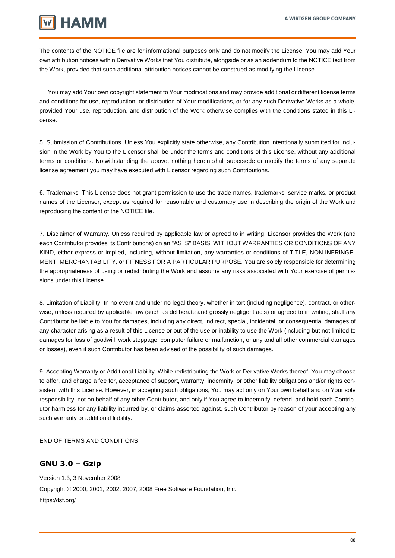

The contents of the NOTICE file are for informational purposes only and do not modify the License. You may add Your own attribution notices within Derivative Works that You distribute, alongside or as an addendum to the NOTICE text from the Work, provided that such additional attribution notices cannot be construed as modifying the License.

 You may add Your own copyright statement to Your modifications and may provide additional or different license terms and conditions for use, reproduction, or distribution of Your modifications, or for any such Derivative Works as a whole, provided Your use, reproduction, and distribution of the Work otherwise complies with the conditions stated in this License.

5. Submission of Contributions. Unless You explicitly state otherwise, any Contribution intentionally submitted for inclusion in the Work by You to the Licensor shall be under the terms and conditions of this License, without any additional terms or conditions. Notwithstanding the above, nothing herein shall supersede or modify the terms of any separate license agreement you may have executed with Licensor regarding such Contributions.

6. Trademarks. This License does not grant permission to use the trade names, trademarks, service marks, or product names of the Licensor, except as required for reasonable and customary use in describing the origin of the Work and reproducing the content of the NOTICE file.

7. Disclaimer of Warranty. Unless required by applicable law or agreed to in writing, Licensor provides the Work (and each Contributor provides its Contributions) on an "AS IS" BASIS, WITHOUT WARRANTIES OR CONDITIONS OF ANY KIND, either express or implied, including, without limitation, any warranties or conditions of TITLE, NON-INFRINGE-MENT, MERCHANTABILITY, or FITNESS FOR A PARTICULAR PURPOSE. You are solely responsible for determining the appropriateness of using or redistributing the Work and assume any risks associated with Your exercise of permissions under this License.

8. Limitation of Liability. In no event and under no legal theory, whether in tort (including negligence), contract, or otherwise, unless required by applicable law (such as deliberate and grossly negligent acts) or agreed to in writing, shall any Contributor be liable to You for damages, including any direct, indirect, special, incidental, or consequential damages of any character arising as a result of this License or out of the use or inability to use the Work (including but not limited to damages for loss of goodwill, work stoppage, computer failure or malfunction, or any and all other commercial damages or losses), even if such Contributor has been advised of the possibility of such damages.

9. Accepting Warranty or Additional Liability. While redistributing the Work or Derivative Works thereof, You may choose to offer, and charge a fee for, acceptance of support, warranty, indemnity, or other liability obligations and/or rights consistent with this License. However, in accepting such obligations, You may act only on Your own behalf and on Your sole responsibility, not on behalf of any other Contributor, and only if You agree to indemnify, defend, and hold each Contributor harmless for any liability incurred by, or claims asserted against, such Contributor by reason of your accepting any such warranty or additional liability.

END OF TERMS AND CONDITIONS

## **GNU 3.0 – Gzip**

Version 1.3, 3 November 2008 Copyright © 2000, 2001, 2002, 2007, 2008 Free Software Foundation, Inc. https://fsf.org/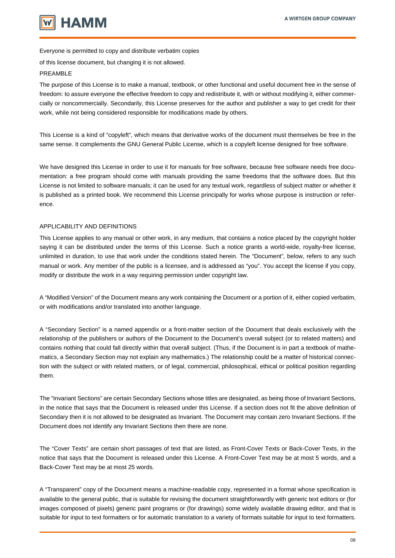

Everyone is permitted to copy and distribute verbatim copies

of this license document, but changing it is not allowed.

### PREAMBLE

The purpose of this License is to make a manual, textbook, or other functional and useful document free in the sense of freedom: to assure everyone the effective freedom to copy and redistribute it, with or without modifying it, either commercially or noncommercially. Secondarily, this License preserves for the author and publisher a way to get credit for their work, while not being considered responsible for modifications made by others.

This License is a kind of "copyleft", which means that derivative works of the document must themselves be free in the same sense. It complements the GNU General Public License, which is a copyleft license designed for free software.

We have designed this License in order to use it for manuals for free software, because free software needs free documentation: a free program should come with manuals providing the same freedoms that the software does. But this License is not limited to software manuals; it can be used for any textual work, regardless of subject matter or whether it is published as a printed book. We recommend this License principally for works whose purpose is instruction or reference.

### APPLICABILITY AND DEFINITIONS

This License applies to any manual or other work, in any medium, that contains a notice placed by the copyright holder saying it can be distributed under the terms of this License. Such a notice grants a world-wide, royalty-free license, unlimited in duration, to use that work under the conditions stated herein. The "Document", below, refers to any such manual or work. Any member of the public is a licensee, and is addressed as "you". You accept the license if you copy, modify or distribute the work in a way requiring permission under copyright law.

A "Modified Version" of the Document means any work containing the Document or a portion of it, either copied verbatim, or with modifications and/or translated into another language.

A "Secondary Section" is a named appendix or a front-matter section of the Document that deals exclusively with the relationship of the publishers or authors of the Document to the Document's overall subject (or to related matters) and contains nothing that could fall directly within that overall subject. (Thus, if the Document is in part a textbook of mathematics, a Secondary Section may not explain any mathematics.) The relationship could be a matter of historical connection with the subject or with related matters, or of legal, commercial, philosophical, ethical or political position regarding them.

The "Invariant Sections" are certain Secondary Sections whose titles are designated, as being those of Invariant Sections, in the notice that says that the Document is released under this License. If a section does not fit the above definition of Secondary then it is not allowed to be designated as Invariant. The Document may contain zero Invariant Sections. If the Document does not identify any Invariant Sections then there are none.

The "Cover Texts" are certain short passages of text that are listed, as Front-Cover Texts or Back-Cover Texts, in the notice that says that the Document is released under this License. A Front-Cover Text may be at most 5 words, and a Back-Cover Text may be at most 25 words.

A "Transparent" copy of the Document means a machine-readable copy, represented in a format whose specification is available to the general public, that is suitable for revising the document straightforwardly with generic text editors or (for images composed of pixels) generic paint programs or (for drawings) some widely available drawing editor, and that is suitable for input to text formatters or for automatic translation to a variety of formats suitable for input to text formatters.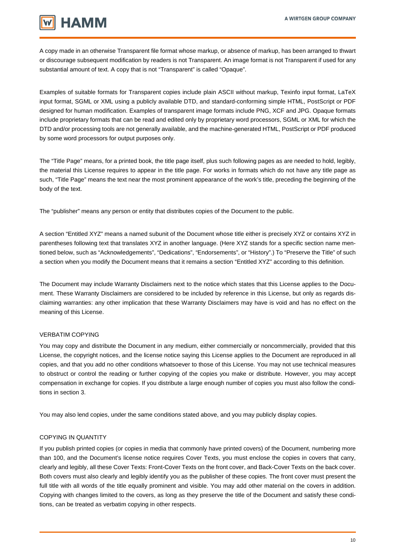

A copy made in an otherwise Transparent file format whose markup, or absence of markup, has been arranged to thwart or discourage subsequent modification by readers is not Transparent. An image format is not Transparent if used for any substantial amount of text. A copy that is not "Transparent" is called "Opaque".

Examples of suitable formats for Transparent copies include plain ASCII without markup, Texinfo input format, LaTeX input format, SGML or XML using a publicly available DTD, and standard-conforming simple HTML, PostScript or PDF designed for human modification. Examples of transparent image formats include PNG, XCF and JPG. Opaque formats include proprietary formats that can be read and edited only by proprietary word processors, SGML or XML for which the DTD and/or processing tools are not generally available, and the machine-generated HTML, PostScript or PDF produced by some word processors for output purposes only.

The "Title Page" means, for a printed book, the title page itself, plus such following pages as are needed to hold, legibly, the material this License requires to appear in the title page. For works in formats which do not have any title page as such, "Title Page" means the text near the most prominent appearance of the work's title, preceding the beginning of the body of the text.

The "publisher" means any person or entity that distributes copies of the Document to the public.

A section "Entitled XYZ" means a named subunit of the Document whose title either is precisely XYZ or contains XYZ in parentheses following text that translates XYZ in another language. (Here XYZ stands for a specific section name mentioned below, such as "Acknowledgements", "Dedications", "Endorsements", or "History".) To "Preserve the Title" of such a section when you modify the Document means that it remains a section "Entitled XYZ" according to this definition.

The Document may include Warranty Disclaimers next to the notice which states that this License applies to the Document. These Warranty Disclaimers are considered to be included by reference in this License, but only as regards disclaiming warranties: any other implication that these Warranty Disclaimers may have is void and has no effect on the meaning of this License.

### VERBATIM COPYING

You may copy and distribute the Document in any medium, either commercially or noncommercially, provided that this License, the copyright notices, and the license notice saying this License applies to the Document are reproduced in all copies, and that you add no other conditions whatsoever to those of this License. You may not use technical measures to obstruct or control the reading or further copying of the copies you make or distribute. However, you may accept compensation in exchange for copies. If you distribute a large enough number of copies you must also follow the conditions in section 3.

You may also lend copies, under the same conditions stated above, and you may publicly display copies.

### COPYING IN QUANTITY

If you publish printed copies (or copies in media that commonly have printed covers) of the Document, numbering more than 100, and the Document's license notice requires Cover Texts, you must enclose the copies in covers that carry, clearly and legibly, all these Cover Texts: Front-Cover Texts on the front cover, and Back-Cover Texts on the back cover. Both covers must also clearly and legibly identify you as the publisher of these copies. The front cover must present the full title with all words of the title equally prominent and visible. You may add other material on the covers in addition. Copying with changes limited to the covers, as long as they preserve the title of the Document and satisfy these conditions, can be treated as verbatim copying in other respects.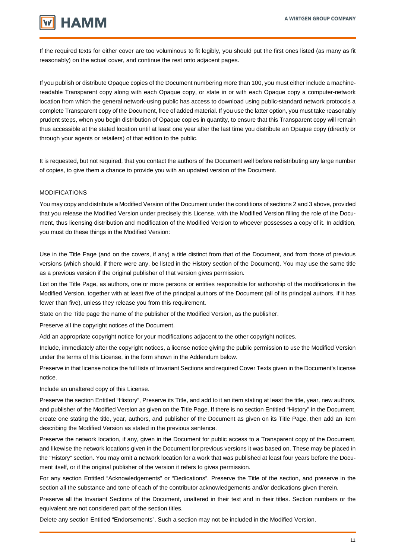

If the required texts for either cover are too voluminous to fit legibly, you should put the first ones listed (as many as fit reasonably) on the actual cover, and continue the rest onto adjacent pages.

If you publish or distribute Opaque copies of the Document numbering more than 100, you must either include a machinereadable Transparent copy along with each Opaque copy, or state in or with each Opaque copy a computer-network location from which the general network-using public has access to download using public-standard network protocols a complete Transparent copy of the Document, free of added material. If you use the latter option, you must take reasonably prudent steps, when you begin distribution of Opaque copies in quantity, to ensure that this Transparent copy will remain thus accessible at the stated location until at least one year after the last time you distribute an Opaque copy (directly or through your agents or retailers) of that edition to the public.

It is requested, but not required, that you contact the authors of the Document well before redistributing any large number of copies, to give them a chance to provide you with an updated version of the Document.

### MODIFICATIONS

You may copy and distribute a Modified Version of the Document under the conditions of sections 2 and 3 above, provided that you release the Modified Version under precisely this License, with the Modified Version filling the role of the Document, thus licensing distribution and modification of the Modified Version to whoever possesses a copy of it. In addition, you must do these things in the Modified Version:

Use in the Title Page (and on the covers, if any) a title distinct from that of the Document, and from those of previous versions (which should, if there were any, be listed in the History section of the Document). You may use the same title as a previous version if the original publisher of that version gives permission.

List on the Title Page, as authors, one or more persons or entities responsible for authorship of the modifications in the Modified Version, together with at least five of the principal authors of the Document (all of its principal authors, if it has fewer than five), unless they release you from this requirement.

State on the Title page the name of the publisher of the Modified Version, as the publisher.

Preserve all the copyright notices of the Document.

Add an appropriate copyright notice for your modifications adjacent to the other copyright notices.

Include, immediately after the copyright notices, a license notice giving the public permission to use the Modified Version under the terms of this License, in the form shown in the Addendum below.

Preserve in that license notice the full lists of Invariant Sections and required Cover Texts given in the Document's license notice.

Include an unaltered copy of this License.

Preserve the section Entitled "History", Preserve its Title, and add to it an item stating at least the title, year, new authors, and publisher of the Modified Version as given on the Title Page. If there is no section Entitled "History" in the Document, create one stating the title, year, authors, and publisher of the Document as given on its Title Page, then add an item describing the Modified Version as stated in the previous sentence.

Preserve the network location, if any, given in the Document for public access to a Transparent copy of the Document, and likewise the network locations given in the Document for previous versions it was based on. These may be placed in the "History" section. You may omit a network location for a work that was published at least four years before the Document itself, or if the original publisher of the version it refers to gives permission.

For any section Entitled "Acknowledgements" or "Dedications", Preserve the Title of the section, and preserve in the section all the substance and tone of each of the contributor acknowledgements and/or dedications given therein.

Preserve all the Invariant Sections of the Document, unaltered in their text and in their titles. Section numbers or the equivalent are not considered part of the section titles.

Delete any section Entitled "Endorsements". Such a section may not be included in the Modified Version.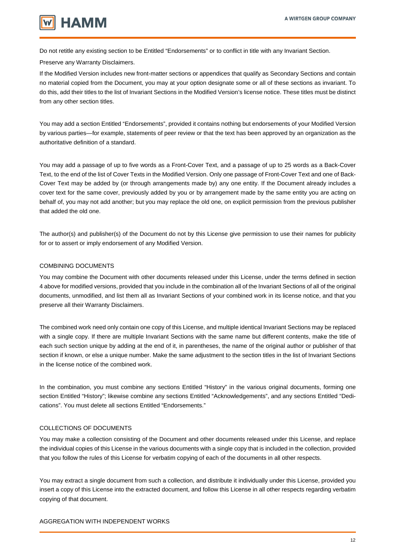

Do not retitle any existing section to be Entitled "Endorsements" or to conflict in title with any Invariant Section.

Preserve any Warranty Disclaimers.

If the Modified Version includes new front-matter sections or appendices that qualify as Secondary Sections and contain no material copied from the Document, you may at your option designate some or all of these sections as invariant. To do this, add their titles to the list of Invariant Sections in the Modified Version's license notice. These titles must be distinct from any other section titles.

You may add a section Entitled "Endorsements", provided it contains nothing but endorsements of your Modified Version by various parties—for example, statements of peer review or that the text has been approved by an organization as the authoritative definition of a standard.

You may add a passage of up to five words as a Front-Cover Text, and a passage of up to 25 words as a Back-Cover Text, to the end of the list of Cover Texts in the Modified Version. Only one passage of Front-Cover Text and one of Back-Cover Text may be added by (or through arrangements made by) any one entity. If the Document already includes a cover text for the same cover, previously added by you or by arrangement made by the same entity you are acting on behalf of, you may not add another; but you may replace the old one, on explicit permission from the previous publisher that added the old one.

The author(s) and publisher(s) of the Document do not by this License give permission to use their names for publicity for or to assert or imply endorsement of any Modified Version.

### COMBINING DOCUMENTS

You may combine the Document with other documents released under this License, under the terms defined in section 4 above for modified versions, provided that you include in the combination all of the Invariant Sections of all of the original documents, unmodified, and list them all as Invariant Sections of your combined work in its license notice, and that you preserve all their Warranty Disclaimers.

The combined work need only contain one copy of this License, and multiple identical Invariant Sections may be replaced with a single copy. If there are multiple Invariant Sections with the same name but different contents, make the title of each such section unique by adding at the end of it, in parentheses, the name of the original author or publisher of that section if known, or else a unique number. Make the same adjustment to the section titles in the list of Invariant Sections in the license notice of the combined work.

In the combination, you must combine any sections Entitled "History" in the various original documents, forming one section Entitled "History"; likewise combine any sections Entitled "Acknowledgements", and any sections Entitled "Dedications". You must delete all sections Entitled "Endorsements."

### COLLECTIONS OF DOCUMENTS

You may make a collection consisting of the Document and other documents released under this License, and replace the individual copies of this License in the various documents with a single copy that is included in the collection, provided that you follow the rules of this License for verbatim copying of each of the documents in all other respects.

You may extract a single document from such a collection, and distribute it individually under this License, provided you insert a copy of this License into the extracted document, and follow this License in all other respects regarding verbatim copying of that document.

### AGGREGATION WITH INDEPENDENT WORKS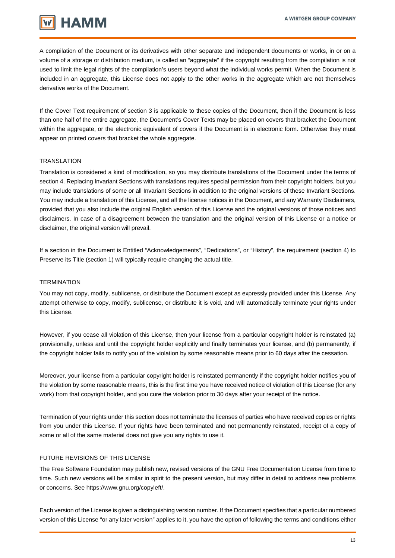

A compilation of the Document or its derivatives with other separate and independent documents or works, in or on a volume of a storage or distribution medium, is called an "aggregate" if the copyright resulting from the compilation is not used to limit the legal rights of the compilation's users beyond what the individual works permit. When the Document is included in an aggregate, this License does not apply to the other works in the aggregate which are not themselves derivative works of the Document.

If the Cover Text requirement of section 3 is applicable to these copies of the Document, then if the Document is less than one half of the entire aggregate, the Document's Cover Texts may be placed on covers that bracket the Document within the aggregate, or the electronic equivalent of covers if the Document is in electronic form. Otherwise they must appear on printed covers that bracket the whole aggregate.

### TRANSLATION

Translation is considered a kind of modification, so you may distribute translations of the Document under the terms of section 4. Replacing Invariant Sections with translations requires special permission from their copyright holders, but you may include translations of some or all Invariant Sections in addition to the original versions of these Invariant Sections. You may include a translation of this License, and all the license notices in the Document, and any Warranty Disclaimers, provided that you also include the original English version of this License and the original versions of those notices and disclaimers. In case of a disagreement between the translation and the original version of this License or a notice or disclaimer, the original version will prevail.

If a section in the Document is Entitled "Acknowledgements", "Dedications", or "History", the requirement (section 4) to Preserve its Title (section 1) will typically require changing the actual title.

#### **TERMINATION**

You may not copy, modify, sublicense, or distribute the Document except as expressly provided under this License. Any attempt otherwise to copy, modify, sublicense, or distribute it is void, and will automatically terminate your rights under this License.

However, if you cease all violation of this License, then your license from a particular copyright holder is reinstated (a) provisionally, unless and until the copyright holder explicitly and finally terminates your license, and (b) permanently, if the copyright holder fails to notify you of the violation by some reasonable means prior to 60 days after the cessation.

Moreover, your license from a particular copyright holder is reinstated permanently if the copyright holder notifies you of the violation by some reasonable means, this is the first time you have received notice of violation of this License (for any work) from that copyright holder, and you cure the violation prior to 30 days after your receipt of the notice.

Termination of your rights under this section does not terminate the licenses of parties who have received copies or rights from you under this License. If your rights have been terminated and not permanently reinstated, receipt of a copy of some or all of the same material does not give you any rights to use it.

#### FUTURE REVISIONS OF THIS LICENSE

The Free Software Foundation may publish new, revised versions of the GNU Free Documentation License from time to time. Such new versions will be similar in spirit to the present version, but may differ in detail to address new problems or concerns. See https://www.gnu.org/copyleft/.

Each version of the License is given a distinguishing version number. If the Document specifies that a particular numbered version of this License "or any later version" applies to it, you have the option of following the terms and conditions either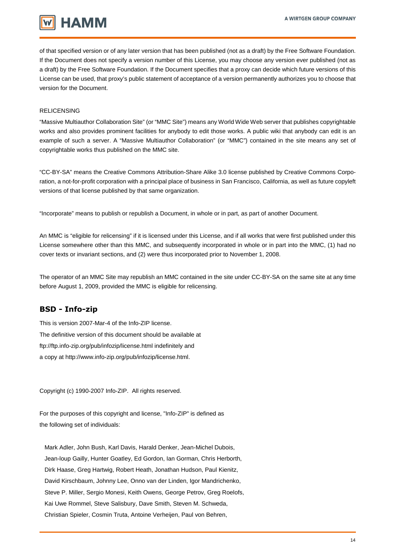

of that specified version or of any later version that has been published (not as a draft) by the Free Software Foundation. If the Document does not specify a version number of this License, you may choose any version ever published (not as a draft) by the Free Software Foundation. If the Document specifies that a proxy can decide which future versions of this License can be used, that proxy's public statement of acceptance of a version permanently authorizes you to choose that version for the Document.

### RELICENSING

"Massive Multiauthor Collaboration Site" (or "MMC Site") means any World Wide Web server that publishes copyrightable works and also provides prominent facilities for anybody to edit those works. A public wiki that anybody can edit is an example of such a server. A "Massive Multiauthor Collaboration" (or "MMC") contained in the site means any set of copyrightable works thus published on the MMC site.

"CC-BY-SA" means the Creative Commons Attribution-Share Alike 3.0 license published by Creative Commons Corporation, a not-for-profit corporation with a principal place of business in San Francisco, California, as well as future copyleft versions of that license published by that same organization.

"Incorporate" means to publish or republish a Document, in whole or in part, as part of another Document.

An MMC is "eligible for relicensing" if it is licensed under this License, and if all works that were first published under this License somewhere other than this MMC, and subsequently incorporated in whole or in part into the MMC, (1) had no cover texts or invariant sections, and (2) were thus incorporated prior to November 1, 2008.

The operator of an MMC Site may republish an MMC contained in the site under CC-BY-SA on the same site at any time before August 1, 2009, provided the MMC is eligible for relicensing.

## **BSD - Info-zip**

This is version 2007-Mar-4 of the Info-ZIP license. The definitive version of this document should be available at ftp://ftp.info-zip.org/pub/infozip/license.html indefinitely and a copy at http://www.info-zip.org/pub/infozip/license.html.

Copyright (c) 1990-2007 Info-ZIP. All rights reserved.

For the purposes of this copyright and license, "Info-ZIP" is defined as the following set of individuals:

 Mark Adler, John Bush, Karl Davis, Harald Denker, Jean-Michel Dubois, Jean-loup Gailly, Hunter Goatley, Ed Gordon, Ian Gorman, Chris Herborth, Dirk Haase, Greg Hartwig, Robert Heath, Jonathan Hudson, Paul Kienitz, David Kirschbaum, Johnny Lee, Onno van der Linden, Igor Mandrichenko, Steve P. Miller, Sergio Monesi, Keith Owens, George Petrov, Greg Roelofs, Kai Uwe Rommel, Steve Salisbury, Dave Smith, Steven M. Schweda, Christian Spieler, Cosmin Truta, Antoine Verheijen, Paul von Behren,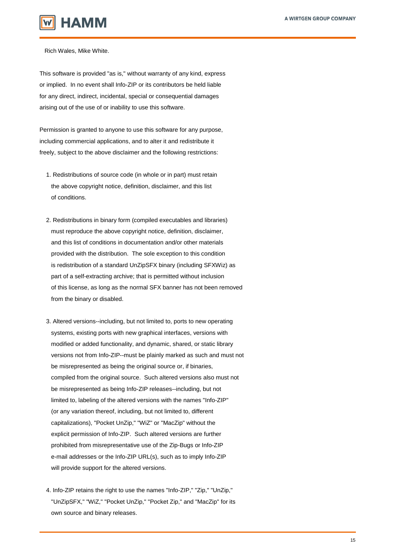

Rich Wales, Mike White.

This software is provided "as is," without warranty of any kind, express or implied. In no event shall Info-ZIP or its contributors be held liable for any direct, indirect, incidental, special or consequential damages arising out of the use of or inability to use this software.

Permission is granted to anyone to use this software for any purpose, including commercial applications, and to alter it and redistribute it freely, subject to the above disclaimer and the following restrictions:

- 1. Redistributions of source code (in whole or in part) must retain the above copyright notice, definition, disclaimer, and this list of conditions.
- 2. Redistributions in binary form (compiled executables and libraries) must reproduce the above copyright notice, definition, disclaimer, and this list of conditions in documentation and/or other materials provided with the distribution. The sole exception to this condition is redistribution of a standard UnZipSFX binary (including SFXWiz) as part of a self-extracting archive; that is permitted without inclusion of this license, as long as the normal SFX banner has not been removed from the binary or disabled.
- 3. Altered versions--including, but not limited to, ports to new operating systems, existing ports with new graphical interfaces, versions with modified or added functionality, and dynamic, shared, or static library versions not from Info-ZIP--must be plainly marked as such and must not be misrepresented as being the original source or, if binaries, compiled from the original source. Such altered versions also must not be misrepresented as being Info-ZIP releases--including, but not limited to, labeling of the altered versions with the names "Info-ZIP" (or any variation thereof, including, but not limited to, different capitalizations), "Pocket UnZip," "WiZ" or "MacZip" without the explicit permission of Info-ZIP. Such altered versions are further prohibited from misrepresentative use of the Zip-Bugs or Info-ZIP e-mail addresses or the Info-ZIP URL(s), such as to imply Info-ZIP will provide support for the altered versions.
- 4. Info-ZIP retains the right to use the names "Info-ZIP," "Zip," "UnZip," "UnZipSFX," "WiZ," "Pocket UnZip," "Pocket Zip," and "MacZip" for its own source and binary releases.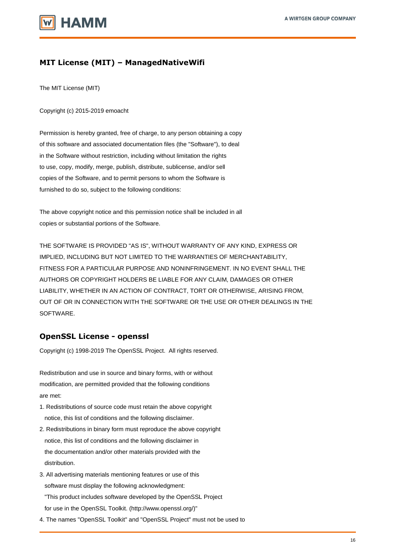

## **MIT License (MIT) – ManagedNativeWifi**

The MIT License (MIT)

Copyright (c) 2015-2019 emoacht

Permission is hereby granted, free of charge, to any person obtaining a copy of this software and associated documentation files (the "Software"), to deal in the Software without restriction, including without limitation the rights to use, copy, modify, merge, publish, distribute, sublicense, and/or sell copies of the Software, and to permit persons to whom the Software is furnished to do so, subject to the following conditions:

The above copyright notice and this permission notice shall be included in all copies or substantial portions of the Software.

THE SOFTWARE IS PROVIDED "AS IS", WITHOUT WARRANTY OF ANY KIND, EXPRESS OR IMPLIED, INCLUDING BUT NOT LIMITED TO THE WARRANTIES OF MERCHANTABILITY, FITNESS FOR A PARTICULAR PURPOSE AND NONINFRINGEMENT. IN NO EVENT SHALL THE AUTHORS OR COPYRIGHT HOLDERS BE LIABLE FOR ANY CLAIM, DAMAGES OR OTHER LIABILITY, WHETHER IN AN ACTION OF CONTRACT, TORT OR OTHERWISE, ARISING FROM, OUT OF OR IN CONNECTION WITH THE SOFTWARE OR THE USE OR OTHER DEALINGS IN THE **SOFTWARE** 

### **OpenSSL License - openssl**

Copyright (c) 1998-2019 The OpenSSL Project. All rights reserved.

Redistribution and use in source and binary forms, with or without modification, are permitted provided that the following conditions are met:

- 1. Redistributions of source code must retain the above copyright notice, this list of conditions and the following disclaimer.
- 2. Redistributions in binary form must reproduce the above copyright notice, this list of conditions and the following disclaimer in the documentation and/or other materials provided with the distribution.
- 3. All advertising materials mentioning features or use of this software must display the following acknowledgment: "This product includes software developed by the OpenSSL Project for use in the OpenSSL Toolkit. (http://www.openssl.org/)"
- 4. The names "OpenSSL Toolkit" and "OpenSSL Project" must not be used to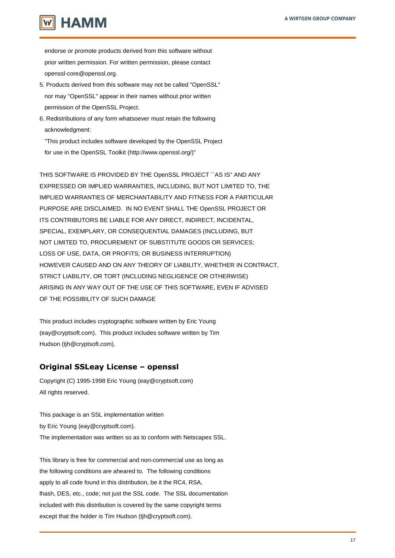

 endorse or promote products derived from this software without prior written permission. For written permission, please contact openssl-core@openssl.org.

- 5. Products derived from this software may not be called "OpenSSL" nor may "OpenSSL" appear in their names without prior written permission of the OpenSSL Project.
- 6. Redistributions of any form whatsoever must retain the following acknowledgment:

 "This product includes software developed by the OpenSSL Project for use in the OpenSSL Toolkit (http://www.openssl.org/)"

THIS SOFTWARE IS PROVIDED BY THE OpenSSL PROJECT ``AS IS'' AND ANY EXPRESSED OR IMPLIED WARRANTIES, INCLUDING, BUT NOT LIMITED TO, THE IMPLIED WARRANTIES OF MERCHANTABILITY AND FITNESS FOR A PARTICULAR PURPOSE ARE DISCLAIMED. IN NO EVENT SHALL THE OpenSSL PROJECT OR ITS CONTRIBUTORS BE LIABLE FOR ANY DIRECT, INDIRECT, INCIDENTAL, SPECIAL, EXEMPLARY, OR CONSEQUENTIAL DAMAGES (INCLUDING, BUT NOT LIMITED TO, PROCUREMENT OF SUBSTITUTE GOODS OR SERVICES; LOSS OF USE, DATA, OR PROFITS; OR BUSINESS INTERRUPTION) HOWEVER CAUSED AND ON ANY THEORY OF LIABILITY, WHETHER IN CONTRACT, STRICT LIABILITY, OR TORT (INCLUDING NEGLIGENCE OR OTHERWISE) ARISING IN ANY WAY OUT OF THE USE OF THIS SOFTWARE, EVEN IF ADVISED OF THE POSSIBILITY OF SUCH DAMAGE

This product includes cryptographic software written by Eric Young (eay@cryptsoft.com). This product includes software written by Tim Hudson (tjh@cryptsoft.com).

## **Original SSLeay License – openssl**

Copyright (C) 1995-1998 Eric Young (eay@cryptsoft.com) All rights reserved.

This package is an SSL implementation written by Eric Young (eay@cryptsoft.com). The implementation was written so as to conform with Netscapes SSL.

This library is free for commercial and non-commercial use as long as the following conditions are aheared to. The following conditions apply to all code found in this distribution, be it the RC4, RSA, lhash, DES, etc., code; not just the SSL code. The SSL documentation included with this distribution is covered by the same copyright terms except that the holder is Tim Hudson (tjh@cryptsoft.com).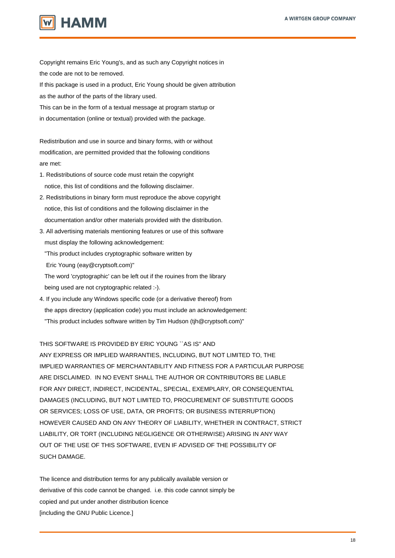

Copyright remains Eric Young's, and as such any Copyright notices in the code are not to be removed. If this package is used in a product, Eric Young should be given attribution as the author of the parts of the library used. This can be in the form of a textual message at program startup or

in documentation (online or textual) provided with the package.

Redistribution and use in source and binary forms, with or without modification, are permitted provided that the following conditions are met:

- 1. Redistributions of source code must retain the copyright notice, this list of conditions and the following disclaimer.
- 2. Redistributions in binary form must reproduce the above copyright notice, this list of conditions and the following disclaimer in the documentation and/or other materials provided with the distribution.
- 3. All advertising materials mentioning features or use of this software must display the following acknowledgement:
	- "This product includes cryptographic software written by

Eric Young (eay@cryptsoft.com)"

 The word 'cryptographic' can be left out if the rouines from the library being used are not cryptographic related :-).

4. If you include any Windows specific code (or a derivative thereof) from the apps directory (application code) you must include an acknowledgement: "This product includes software written by Tim Hudson (tjh@cryptsoft.com)"

### THIS SOFTWARE IS PROVIDED BY ERIC YOUNG ``AS IS'' AND

ANY EXPRESS OR IMPLIED WARRANTIES, INCLUDING, BUT NOT LIMITED TO, THE IMPLIED WARRANTIES OF MERCHANTABILITY AND FITNESS FOR A PARTICULAR PURPOSE ARE DISCLAIMED. IN NO EVENT SHALL THE AUTHOR OR CONTRIBUTORS BE LIABLE FOR ANY DIRECT, INDIRECT, INCIDENTAL, SPECIAL, EXEMPLARY, OR CONSEQUENTIAL DAMAGES (INCLUDING, BUT NOT LIMITED TO, PROCUREMENT OF SUBSTITUTE GOODS OR SERVICES; LOSS OF USE, DATA, OR PROFITS; OR BUSINESS INTERRUPTION) HOWEVER CAUSED AND ON ANY THEORY OF LIABILITY, WHETHER IN CONTRACT, STRICT LIABILITY, OR TORT (INCLUDING NEGLIGENCE OR OTHERWISE) ARISING IN ANY WAY OUT OF THE USE OF THIS SOFTWARE, EVEN IF ADVISED OF THE POSSIBILITY OF SUCH DAMAGE.

The licence and distribution terms for any publically available version or derivative of this code cannot be changed. i.e. this code cannot simply be copied and put under another distribution licence [including the GNU Public Licence.]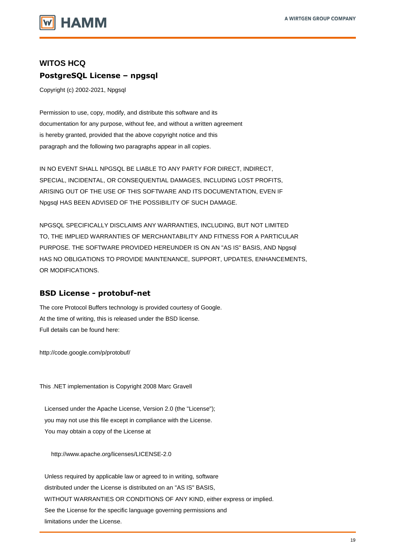

## **WITOS HCQ PostgreSQL License – npgsql**

Copyright (c) 2002-2021, Npgsql

Permission to use, copy, modify, and distribute this software and its documentation for any purpose, without fee, and without a written agreement is hereby granted, provided that the above copyright notice and this paragraph and the following two paragraphs appear in all copies.

IN NO EVENT SHALL NPGSQL BE LIABLE TO ANY PARTY FOR DIRECT, INDIRECT, SPECIAL, INCIDENTAL, OR CONSEQUENTIAL DAMAGES, INCLUDING LOST PROFITS, ARISING OUT OF THE USE OF THIS SOFTWARE AND ITS DOCUMENTATION, EVEN IF Npgsql HAS BEEN ADVISED OF THE POSSIBILITY OF SUCH DAMAGE.

NPGSQL SPECIFICALLY DISCLAIMS ANY WARRANTIES, INCLUDING, BUT NOT LIMITED TO, THE IMPLIED WARRANTIES OF MERCHANTABILITY AND FITNESS FOR A PARTICULAR PURPOSE. THE SOFTWARE PROVIDED HEREUNDER IS ON AN "AS IS" BASIS, AND Npgsql HAS NO OBLIGATIONS TO PROVIDE MAINTENANCE, SUPPORT, UPDATES, ENHANCEMENTS, OR MODIFICATIONS.

### **BSD License - protobuf-net**

The core Protocol Buffers technology is provided courtesy of Google. At the time of writing, this is released under the BSD license. Full details can be found here:

http://code.google.com/p/protobuf/

This .NET implementation is Copyright 2008 Marc Gravell

 Licensed under the Apache License, Version 2.0 (the "License"); you may not use this file except in compliance with the License. You may obtain a copy of the License at

http://www.apache.org/licenses/LICENSE-2.0

 Unless required by applicable law or agreed to in writing, software distributed under the License is distributed on an "AS IS" BASIS, WITHOUT WARRANTIES OR CONDITIONS OF ANY KIND, either express or implied. See the License for the specific language governing permissions and limitations under the License.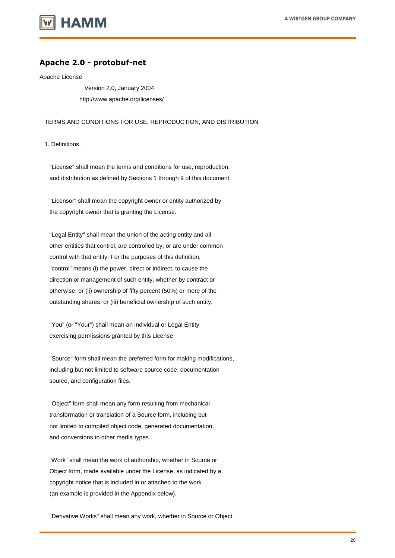

## **Apache 2.0 - protobuf-net**

Apache License

 Version 2.0, January 2004 http://www.apache.org/licenses/

### TERMS AND CONDITIONS FOR USE, REPRODUCTION, AND DISTRIBUTION

1. Definitions.

 "License" shall mean the terms and conditions for use, reproduction, and distribution as defined by Sections 1 through 9 of this document.

 "Licensor" shall mean the copyright owner or entity authorized by the copyright owner that is granting the License.

 "Legal Entity" shall mean the union of the acting entity and all other entities that control, are controlled by, or are under common control with that entity. For the purposes of this definition, "control" means (i) the power, direct or indirect, to cause the direction or management of such entity, whether by contract or otherwise, or (ii) ownership of fifty percent (50%) or more of the outstanding shares, or (iii) beneficial ownership of such entity.

 "You" (or "Your") shall mean an individual or Legal Entity exercising permissions granted by this License.

 "Source" form shall mean the preferred form for making modifications, including but not limited to software source code, documentation source, and configuration files.

 "Object" form shall mean any form resulting from mechanical transformation or translation of a Source form, including but not limited to compiled object code, generated documentation, and conversions to other media types.

 "Work" shall mean the work of authorship, whether in Source or Object form, made available under the License, as indicated by a copyright notice that is included in or attached to the work (an example is provided in the Appendix below).

"Derivative Works" shall mean any work, whether in Source or Object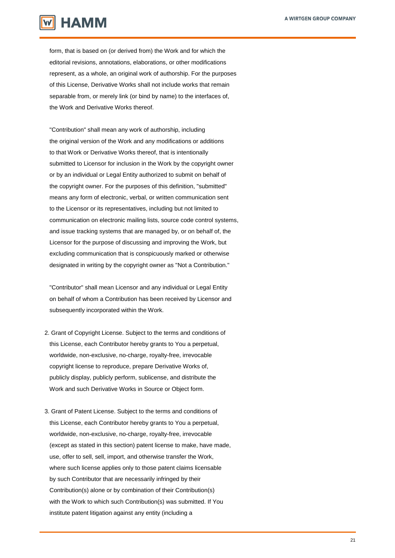# **HAMM**

 form, that is based on (or derived from) the Work and for which the editorial revisions, annotations, elaborations, or other modifications represent, as a whole, an original work of authorship. For the purposes of this License, Derivative Works shall not include works that remain separable from, or merely link (or bind by name) to the interfaces of, the Work and Derivative Works thereof.

 "Contribution" shall mean any work of authorship, including the original version of the Work and any modifications or additions to that Work or Derivative Works thereof, that is intentionally submitted to Licensor for inclusion in the Work by the copyright owner or by an individual or Legal Entity authorized to submit on behalf of the copyright owner. For the purposes of this definition, "submitted" means any form of electronic, verbal, or written communication sent to the Licensor or its representatives, including but not limited to communication on electronic mailing lists, source code control systems, and issue tracking systems that are managed by, or on behalf of, the Licensor for the purpose of discussing and improving the Work, but excluding communication that is conspicuously marked or otherwise designated in writing by the copyright owner as "Not a Contribution."

 "Contributor" shall mean Licensor and any individual or Legal Entity on behalf of whom a Contribution has been received by Licensor and subsequently incorporated within the Work.

- 2. Grant of Copyright License. Subject to the terms and conditions of this License, each Contributor hereby grants to You a perpetual, worldwide, non-exclusive, no-charge, royalty-free, irrevocable copyright license to reproduce, prepare Derivative Works of, publicly display, publicly perform, sublicense, and distribute the Work and such Derivative Works in Source or Object form.
- 3. Grant of Patent License. Subject to the terms and conditions of this License, each Contributor hereby grants to You a perpetual, worldwide, non-exclusive, no-charge, royalty-free, irrevocable (except as stated in this section) patent license to make, have made, use, offer to sell, sell, import, and otherwise transfer the Work, where such license applies only to those patent claims licensable by such Contributor that are necessarily infringed by their Contribution(s) alone or by combination of their Contribution(s) with the Work to which such Contribution(s) was submitted. If You institute patent litigation against any entity (including a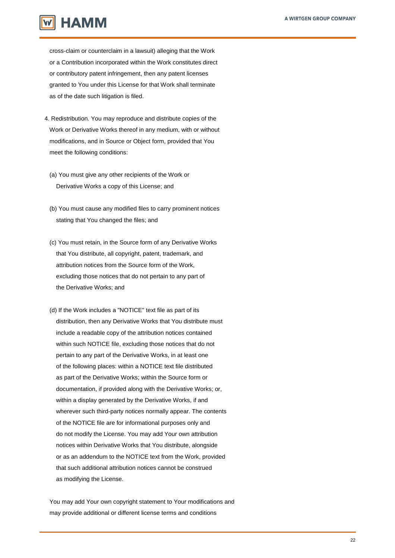## cross-claim or counterclaim in a lawsuit) alleging that the Work or a Contribution incorporated within the Work constitutes direct or contributory patent infringement, then any patent licenses granted to You under this License for that Work shall terminate as of the date such litigation is filed.

**HAMM** 

- 4. Redistribution. You may reproduce and distribute copies of the Work or Derivative Works thereof in any medium, with or without modifications, and in Source or Object form, provided that You meet the following conditions:
	- (a) You must give any other recipients of the Work or Derivative Works a copy of this License; and
	- (b) You must cause any modified files to carry prominent notices stating that You changed the files; and
	- (c) You must retain, in the Source form of any Derivative Works that You distribute, all copyright, patent, trademark, and attribution notices from the Source form of the Work, excluding those notices that do not pertain to any part of the Derivative Works; and
	- (d) If the Work includes a "NOTICE" text file as part of its distribution, then any Derivative Works that You distribute must include a readable copy of the attribution notices contained within such NOTICE file, excluding those notices that do not pertain to any part of the Derivative Works, in at least one of the following places: within a NOTICE text file distributed as part of the Derivative Works; within the Source form or documentation, if provided along with the Derivative Works; or, within a display generated by the Derivative Works, if and wherever such third-party notices normally appear. The contents of the NOTICE file are for informational purposes only and do not modify the License. You may add Your own attribution notices within Derivative Works that You distribute, alongside or as an addendum to the NOTICE text from the Work, provided that such additional attribution notices cannot be construed as modifying the License.

 You may add Your own copyright statement to Your modifications and may provide additional or different license terms and conditions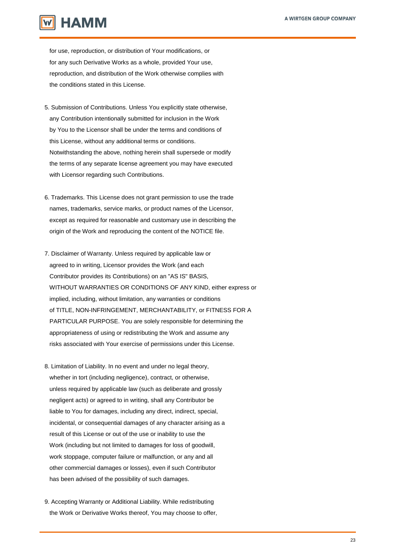## for use, reproduction, or distribution of Your modifications, or for any such Derivative Works as a whole, provided Your use, reproduction, and distribution of the Work otherwise complies with the conditions stated in this License.

**HAMM** 

- 5. Submission of Contributions. Unless You explicitly state otherwise, any Contribution intentionally submitted for inclusion in the Work by You to the Licensor shall be under the terms and conditions of this License, without any additional terms or conditions. Notwithstanding the above, nothing herein shall supersede or modify the terms of any separate license agreement you may have executed with Licensor regarding such Contributions.
- 6. Trademarks. This License does not grant permission to use the trade names, trademarks, service marks, or product names of the Licensor, except as required for reasonable and customary use in describing the origin of the Work and reproducing the content of the NOTICE file.
- 7. Disclaimer of Warranty. Unless required by applicable law or agreed to in writing, Licensor provides the Work (and each Contributor provides its Contributions) on an "AS IS" BASIS, WITHOUT WARRANTIES OR CONDITIONS OF ANY KIND, either express or implied, including, without limitation, any warranties or conditions of TITLE, NON-INFRINGEMENT, MERCHANTABILITY, or FITNESS FOR A PARTICULAR PURPOSE. You are solely responsible for determining the appropriateness of using or redistributing the Work and assume any risks associated with Your exercise of permissions under this License.
- 8. Limitation of Liability. In no event and under no legal theory, whether in tort (including negligence), contract, or otherwise, unless required by applicable law (such as deliberate and grossly negligent acts) or agreed to in writing, shall any Contributor be liable to You for damages, including any direct, indirect, special, incidental, or consequential damages of any character arising as a result of this License or out of the use or inability to use the Work (including but not limited to damages for loss of goodwill, work stoppage, computer failure or malfunction, or any and all other commercial damages or losses), even if such Contributor has been advised of the possibility of such damages.
- 9. Accepting Warranty or Additional Liability. While redistributing the Work or Derivative Works thereof, You may choose to offer,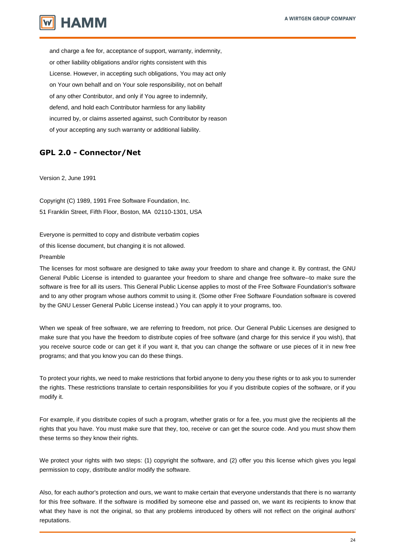

 and charge a fee for, acceptance of support, warranty, indemnity, or other liability obligations and/or rights consistent with this License. However, in accepting such obligations, You may act only on Your own behalf and on Your sole responsibility, not on behalf of any other Contributor, and only if You agree to indemnify, defend, and hold each Contributor harmless for any liability incurred by, or claims asserted against, such Contributor by reason of your accepting any such warranty or additional liability.

## **GPL 2.0 - Connector/Net**

Version 2, June 1991

Copyright (C) 1989, 1991 Free Software Foundation, Inc. 51 Franklin Street, Fifth Floor, Boston, MA 02110-1301, USA

Everyone is permitted to copy and distribute verbatim copies of this license document, but changing it is not allowed.

### Preamble

The licenses for most software are designed to take away your freedom to share and change it. By contrast, the GNU General Public License is intended to guarantee your freedom to share and change free software--to make sure the software is free for all its users. This General Public License applies to most of the Free Software Foundation's software and to any other program whose authors commit to using it. (Some other Free Software Foundation software is covered by the GNU Lesser General Public License instead.) You can apply it to your programs, too.

When we speak of free software, we are referring to freedom, not price. Our General Public Licenses are designed to make sure that you have the freedom to distribute copies of free software (and charge for this service if you wish), that you receive source code or can get it if you want it, that you can change the software or use pieces of it in new free programs; and that you know you can do these things.

To protect your rights, we need to make restrictions that forbid anyone to deny you these rights or to ask you to surrender the rights. These restrictions translate to certain responsibilities for you if you distribute copies of the software, or if you modify it.

For example, if you distribute copies of such a program, whether gratis or for a fee, you must give the recipients all the rights that you have. You must make sure that they, too, receive or can get the source code. And you must show them these terms so they know their rights.

We protect your rights with two steps: (1) copyright the software, and (2) offer you this license which gives you legal permission to copy, distribute and/or modify the software.

Also, for each author's protection and ours, we want to make certain that everyone understands that there is no warranty for this free software. If the software is modified by someone else and passed on, we want its recipients to know that what they have is not the original, so that any problems introduced by others will not reflect on the original authors' reputations.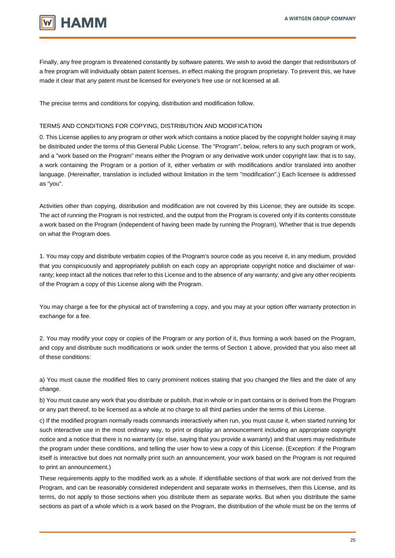Finally, any free program is threatened constantly by software patents. We wish to avoid the danger that redistributors of a free program will individually obtain patent licenses, in effect making the program proprietary. To prevent this, we have made it clear that any patent must be licensed for everyone's free use or not licensed at all.

The precise terms and conditions for copying, distribution and modification follow.

### TERMS AND CONDITIONS FOR COPYING, DISTRIBUTION AND MODIFICATION

0. This License applies to any program or other work which contains a notice placed by the copyright holder saying it may be distributed under the terms of this General Public License. The "Program", below, refers to any such program or work, and a "work based on the Program" means either the Program or any derivative work under copyright law: that is to say, a work containing the Program or a portion of it, either verbatim or with modifications and/or translated into another language. (Hereinafter, translation is included without limitation in the term "modification".) Each licensee is addressed as "you".

Activities other than copying, distribution and modification are not covered by this License; they are outside its scope. The act of running the Program is not restricted, and the output from the Program is covered only if its contents constitute a work based on the Program (independent of having been made by running the Program). Whether that is true depends on what the Program does.

1. You may copy and distribute verbatim copies of the Program's source code as you receive it, in any medium, provided that you conspicuously and appropriately publish on each copy an appropriate copyright notice and disclaimer of warranty; keep intact all the notices that refer to this License and to the absence of any warranty; and give any other recipients of the Program a copy of this License along with the Program.

You may charge a fee for the physical act of transferring a copy, and you may at your option offer warranty protection in exchange for a fee.

2. You may modify your copy or copies of the Program or any portion of it, thus forming a work based on the Program, and copy and distribute such modifications or work under the terms of Section 1 above, provided that you also meet all of these conditions:

a) You must cause the modified files to carry prominent notices stating that you changed the files and the date of any change.

b) You must cause any work that you distribute or publish, that in whole or in part contains or is derived from the Program or any part thereof, to be licensed as a whole at no charge to all third parties under the terms of this License.

c) If the modified program normally reads commands interactively when run, you must cause it, when started running for such interactive use in the most ordinary way, to print or display an announcement including an appropriate copyright notice and a notice that there is no warranty (or else, saying that you provide a warranty) and that users may redistribute the program under these conditions, and telling the user how to view a copy of this License. (Exception: if the Program itself is interactive but does not normally print such an announcement, your work based on the Program is not required to print an announcement.)

These requirements apply to the modified work as a whole. If identifiable sections of that work are not derived from the Program, and can be reasonably considered independent and separate works in themselves, then this License, and its terms, do not apply to those sections when you distribute them as separate works. But when you distribute the same sections as part of a whole which is a work based on the Program, the distribution of the whole must be on the terms of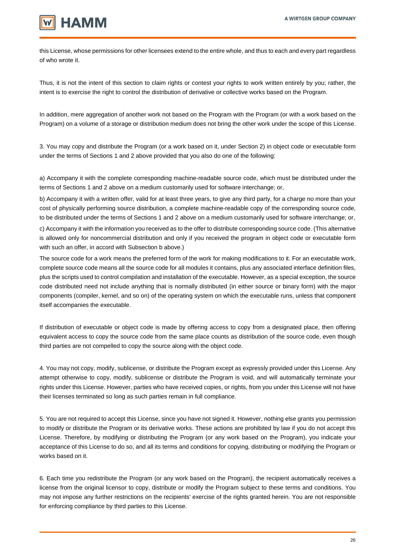

this License, whose permissions for other licensees extend to the entire whole, and thus to each and every part regardless of who wrote it.

Thus, it is not the intent of this section to claim rights or contest your rights to work written entirely by you; rather, the intent is to exercise the right to control the distribution of derivative or collective works based on the Program.

In addition, mere aggregation of another work not based on the Program with the Program (or with a work based on the Program) on a volume of a storage or distribution medium does not bring the other work under the scope of this License.

3. You may copy and distribute the Program (or a work based on it, under Section 2) in object code or executable form under the terms of Sections 1 and 2 above provided that you also do one of the following:

a) Accompany it with the complete corresponding machine-readable source code, which must be distributed under the terms of Sections 1 and 2 above on a medium customarily used for software interchange; or,

b) Accompany it with a written offer, valid for at least three years, to give any third party, for a charge no more than your cost of physically performing source distribution, a complete machine-readable copy of the corresponding source code, to be distributed under the terms of Sections 1 and 2 above on a medium customarily used for software interchange; or, c) Accompany it with the information you received as to the offer to distribute corresponding source code. (This alternative is allowed only for noncommercial distribution and only if you received the program in object code or executable form with such an offer, in accord with Subsection b above.)

The source code for a work means the preferred form of the work for making modifications to it. For an executable work, complete source code means all the source code for all modules it contains, plus any associated interface definition files, plus the scripts used to control compilation and installation of the executable. However, as a special exception, the source code distributed need not include anything that is normally distributed (in either source or binary form) with the major components (compiler, kernel, and so on) of the operating system on which the executable runs, unless that component itself accompanies the executable.

If distribution of executable or object code is made by offering access to copy from a designated place, then offering equivalent access to copy the source code from the same place counts as distribution of the source code, even though third parties are not compelled to copy the source along with the object code.

4. You may not copy, modify, sublicense, or distribute the Program except as expressly provided under this License. Any attempt otherwise to copy, modify, sublicense or distribute the Program is void, and will automatically terminate your rights under this License. However, parties who have received copies, or rights, from you under this License will not have their licenses terminated so long as such parties remain in full compliance.

5. You are not required to accept this License, since you have not signed it. However, nothing else grants you permission to modify or distribute the Program or its derivative works. These actions are prohibited by law if you do not accept this License. Therefore, by modifying or distributing the Program (or any work based on the Program), you indicate your acceptance of this License to do so, and all its terms and conditions for copying, distributing or modifying the Program or works based on it.

6. Each time you redistribute the Program (or any work based on the Program), the recipient automatically receives a license from the original licensor to copy, distribute or modify the Program subject to these terms and conditions. You may not impose any further restrictions on the recipients' exercise of the rights granted herein. You are not responsible for enforcing compliance by third parties to this License.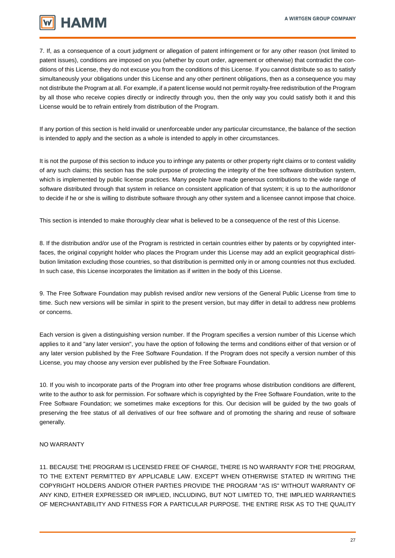

7. If, as a consequence of a court judgment or allegation of patent infringement or for any other reason (not limited to patent issues), conditions are imposed on you (whether by court order, agreement or otherwise) that contradict the conditions of this License, they do not excuse you from the conditions of this License. If you cannot distribute so as to satisfy simultaneously your obligations under this License and any other pertinent obligations, then as a consequence you may not distribute the Program at all. For example, if a patent license would not permit royalty-free redistribution of the Program by all those who receive copies directly or indirectly through you, then the only way you could satisfy both it and this License would be to refrain entirely from distribution of the Program.

If any portion of this section is held invalid or unenforceable under any particular circumstance, the balance of the section is intended to apply and the section as a whole is intended to apply in other circumstances.

It is not the purpose of this section to induce you to infringe any patents or other property right claims or to contest validity of any such claims; this section has the sole purpose of protecting the integrity of the free software distribution system, which is implemented by public license practices. Many people have made generous contributions to the wide range of software distributed through that system in reliance on consistent application of that system; it is up to the author/donor to decide if he or she is willing to distribute software through any other system and a licensee cannot impose that choice.

This section is intended to make thoroughly clear what is believed to be a consequence of the rest of this License.

8. If the distribution and/or use of the Program is restricted in certain countries either by patents or by copyrighted interfaces, the original copyright holder who places the Program under this License may add an explicit geographical distribution limitation excluding those countries, so that distribution is permitted only in or among countries not thus excluded. In such case, this License incorporates the limitation as if written in the body of this License.

9. The Free Software Foundation may publish revised and/or new versions of the General Public License from time to time. Such new versions will be similar in spirit to the present version, but may differ in detail to address new problems or concerns.

Each version is given a distinguishing version number. If the Program specifies a version number of this License which applies to it and "any later version", you have the option of following the terms and conditions either of that version or of any later version published by the Free Software Foundation. If the Program does not specify a version number of this License, you may choose any version ever published by the Free Software Foundation.

10. If you wish to incorporate parts of the Program into other free programs whose distribution conditions are different, write to the author to ask for permission. For software which is copyrighted by the Free Software Foundation, write to the Free Software Foundation; we sometimes make exceptions for this. Our decision will be guided by the two goals of preserving the free status of all derivatives of our free software and of promoting the sharing and reuse of software generally.

### NO WARRANTY

11. BECAUSE THE PROGRAM IS LICENSED FREE OF CHARGE, THERE IS NO WARRANTY FOR THE PROGRAM, TO THE EXTENT PERMITTED BY APPLICABLE LAW. EXCEPT WHEN OTHERWISE STATED IN WRITING THE COPYRIGHT HOLDERS AND/OR OTHER PARTIES PROVIDE THE PROGRAM "AS IS" WITHOUT WARRANTY OF ANY KIND, EITHER EXPRESSED OR IMPLIED, INCLUDING, BUT NOT LIMITED TO, THE IMPLIED WARRANTIES OF MERCHANTABILITY AND FITNESS FOR A PARTICULAR PURPOSE. THE ENTIRE RISK AS TO THE QUALITY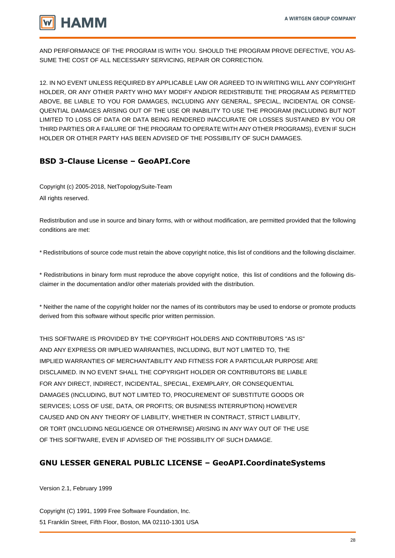

AND PERFORMANCE OF THE PROGRAM IS WITH YOU. SHOULD THE PROGRAM PROVE DEFECTIVE, YOU AS-SUME THE COST OF ALL NECESSARY SERVICING, REPAIR OR CORRECTION.

12. IN NO EVENT UNLESS REQUIRED BY APPLICABLE LAW OR AGREED TO IN WRITING WILL ANY COPYRIGHT HOLDER, OR ANY OTHER PARTY WHO MAY MODIFY AND/OR REDISTRIBUTE THE PROGRAM AS PERMITTED ABOVE, BE LIABLE TO YOU FOR DAMAGES, INCLUDING ANY GENERAL, SPECIAL, INCIDENTAL OR CONSE-QUENTIAL DAMAGES ARISING OUT OF THE USE OR INABILITY TO USE THE PROGRAM (INCLUDING BUT NOT LIMITED TO LOSS OF DATA OR DATA BEING RENDERED INACCURATE OR LOSSES SUSTAINED BY YOU OR THIRD PARTIES OR A FAILURE OF THE PROGRAM TO OPERATE WITH ANY OTHER PROGRAMS), EVEN IF SUCH HOLDER OR OTHER PARTY HAS BEEN ADVISED OF THE POSSIBILITY OF SUCH DAMAGES.

## **BSD 3-Clause License – GeoAPI.Core**

Copyright (c) 2005-2018, NetTopologySuite-Team All rights reserved.

Redistribution and use in source and binary forms, with or without modification, are permitted provided that the following conditions are met:

\* Redistributions of source code must retain the above copyright notice, this list of conditions and the following disclaimer.

\* Redistributions in binary form must reproduce the above copyright notice, this list of conditions and the following disclaimer in the documentation and/or other materials provided with the distribution.

\* Neither the name of the copyright holder nor the names of its contributors may be used to endorse or promote products derived from this software without specific prior written permission.

THIS SOFTWARE IS PROVIDED BY THE COPYRIGHT HOLDERS AND CONTRIBUTORS "AS IS" AND ANY EXPRESS OR IMPLIED WARRANTIES, INCLUDING, BUT NOT LIMITED TO, THE IMPLIED WARRANTIES OF MERCHANTABILITY AND FITNESS FOR A PARTICULAR PURPOSE ARE DISCLAIMED. IN NO EVENT SHALL THE COPYRIGHT HOLDER OR CONTRIBUTORS BE LIABLE FOR ANY DIRECT, INDIRECT, INCIDENTAL, SPECIAL, EXEMPLARY, OR CONSEQUENTIAL DAMAGES (INCLUDING, BUT NOT LIMITED TO, PROCUREMENT OF SUBSTITUTE GOODS OR SERVICES; LOSS OF USE, DATA, OR PROFITS; OR BUSINESS INTERRUPTION) HOWEVER CAUSED AND ON ANY THEORY OF LIABILITY, WHETHER IN CONTRACT, STRICT LIABILITY, OR TORT (INCLUDING NEGLIGENCE OR OTHERWISE) ARISING IN ANY WAY OUT OF THE USE OF THIS SOFTWARE, EVEN IF ADVISED OF THE POSSIBILITY OF SUCH DAMAGE.

## **GNU LESSER GENERAL PUBLIC LICENSE – GeoAPI.CoordinateSystems**

Version 2.1, February 1999

Copyright (C) 1991, 1999 Free Software Foundation, Inc. 51 Franklin Street, Fifth Floor, Boston, MA 02110-1301 USA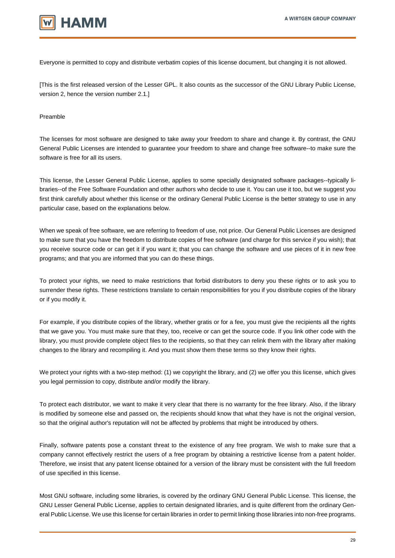



Everyone is permitted to copy and distribute verbatim copies of this license document, but changing it is not allowed.

[This is the first released version of the Lesser GPL. It also counts as the successor of the GNU Library Public License, version 2, hence the version number 2.1.]

Preamble

The licenses for most software are designed to take away your freedom to share and change it. By contrast, the GNU General Public Licenses are intended to guarantee your freedom to share and change free software--to make sure the software is free for all its users.

This license, the Lesser General Public License, applies to some specially designated software packages--typically libraries--of the Free Software Foundation and other authors who decide to use it. You can use it too, but we suggest you first think carefully about whether this license or the ordinary General Public License is the better strategy to use in any particular case, based on the explanations below.

When we speak of free software, we are referring to freedom of use, not price. Our General Public Licenses are designed to make sure that you have the freedom to distribute copies of free software (and charge for this service if you wish); that you receive source code or can get it if you want it; that you can change the software and use pieces of it in new free programs; and that you are informed that you can do these things.

To protect your rights, we need to make restrictions that forbid distributors to deny you these rights or to ask you to surrender these rights. These restrictions translate to certain responsibilities for you if you distribute copies of the library or if you modify it.

For example, if you distribute copies of the library, whether gratis or for a fee, you must give the recipients all the rights that we gave you. You must make sure that they, too, receive or can get the source code. If you link other code with the library, you must provide complete object files to the recipients, so that they can relink them with the library after making changes to the library and recompiling it. And you must show them these terms so they know their rights.

We protect your rights with a two-step method: (1) we copyright the library, and (2) we offer you this license, which gives you legal permission to copy, distribute and/or modify the library.

To protect each distributor, we want to make it very clear that there is no warranty for the free library. Also, if the library is modified by someone else and passed on, the recipients should know that what they have is not the original version, so that the original author's reputation will not be affected by problems that might be introduced by others.

Finally, software patents pose a constant threat to the existence of any free program. We wish to make sure that a company cannot effectively restrict the users of a free program by obtaining a restrictive license from a patent holder. Therefore, we insist that any patent license obtained for a version of the library must be consistent with the full freedom of use specified in this license.

Most GNU software, including some libraries, is covered by the ordinary GNU General Public License. This license, the GNU Lesser General Public License, applies to certain designated libraries, and is quite different from the ordinary General Public License. We use this license for certain libraries in order to permit linking those libraries into non-free programs.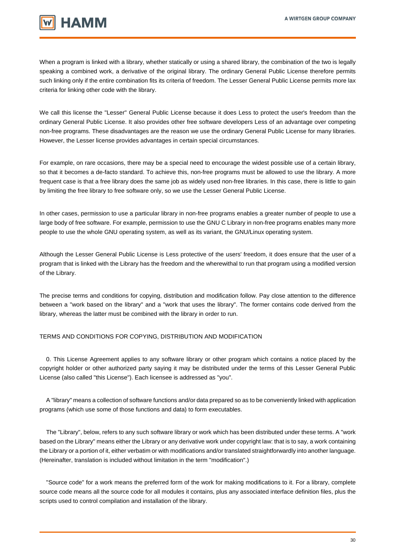

When a program is linked with a library, whether statically or using a shared library, the combination of the two is legally speaking a combined work, a derivative of the original library. The ordinary General Public License therefore permits such linking only if the entire combination fits its criteria of freedom. The Lesser General Public License permits more lax criteria for linking other code with the library.

We call this license the "Lesser" General Public License because it does Less to protect the user's freedom than the ordinary General Public License. It also provides other free software developers Less of an advantage over competing non-free programs. These disadvantages are the reason we use the ordinary General Public License for many libraries. However, the Lesser license provides advantages in certain special circumstances.

For example, on rare occasions, there may be a special need to encourage the widest possible use of a certain library, so that it becomes a de-facto standard. To achieve this, non-free programs must be allowed to use the library. A more frequent case is that a free library does the same job as widely used non-free libraries. In this case, there is little to gain by limiting the free library to free software only, so we use the Lesser General Public License.

In other cases, permission to use a particular library in non-free programs enables a greater number of people to use a large body of free software. For example, permission to use the GNU C Library in non-free programs enables many more people to use the whole GNU operating system, as well as its variant, the GNU/Linux operating system.

Although the Lesser General Public License is Less protective of the users' freedom, it does ensure that the user of a program that is linked with the Library has the freedom and the wherewithal to run that program using a modified version of the Library.

The precise terms and conditions for copying, distribution and modification follow. Pay close attention to the difference between a "work based on the library" and a "work that uses the library". The former contains code derived from the library, whereas the latter must be combined with the library in order to run.

### TERMS AND CONDITIONS FOR COPYING, DISTRIBUTION AND MODIFICATION

 0. This License Agreement applies to any software library or other program which contains a notice placed by the copyright holder or other authorized party saying it may be distributed under the terms of this Lesser General Public License (also called "this License"). Each licensee is addressed as "you".

 A "library" means a collection of software functions and/or data prepared so as to be conveniently linked with application programs (which use some of those functions and data) to form executables.

 The "Library", below, refers to any such software library or work which has been distributed under these terms. A "work based on the Library" means either the Library or any derivative work under copyright law: that is to say, a work containing the Library or a portion of it, either verbatim or with modifications and/or translated straightforwardly into another language. (Hereinafter, translation is included without limitation in the term "modification".)

 "Source code" for a work means the preferred form of the work for making modifications to it. For a library, complete source code means all the source code for all modules it contains, plus any associated interface definition files, plus the scripts used to control compilation and installation of the library.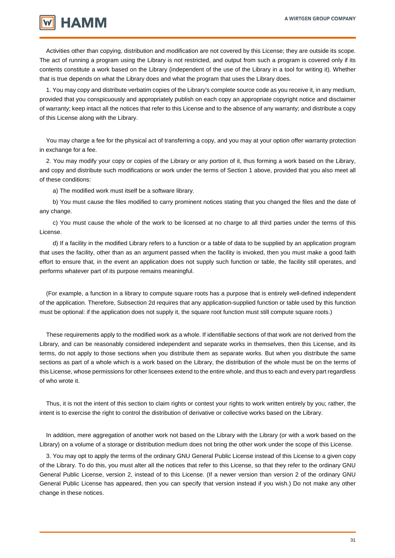

 Activities other than copying, distribution and modification are not covered by this License; they are outside its scope. The act of running a program using the Library is not restricted, and output from such a program is covered only if its contents constitute a work based on the Library (independent of the use of the Library in a tool for writing it). Whether that is true depends on what the Library does and what the program that uses the Library does.

 1. You may copy and distribute verbatim copies of the Library's complete source code as you receive it, in any medium, provided that you conspicuously and appropriately publish on each copy an appropriate copyright notice and disclaimer of warranty; keep intact all the notices that refer to this License and to the absence of any warranty; and distribute a copy of this License along with the Library.

 You may charge a fee for the physical act of transferring a copy, and you may at your option offer warranty protection in exchange for a fee.

 2. You may modify your copy or copies of the Library or any portion of it, thus forming a work based on the Library, and copy and distribute such modifications or work under the terms of Section 1 above, provided that you also meet all of these conditions:

a) The modified work must itself be a software library.

 b) You must cause the files modified to carry prominent notices stating that you changed the files and the date of any change.

 c) You must cause the whole of the work to be licensed at no charge to all third parties under the terms of this License.

 d) If a facility in the modified Library refers to a function or a table of data to be supplied by an application program that uses the facility, other than as an argument passed when the facility is invoked, then you must make a good faith effort to ensure that, in the event an application does not supply such function or table, the facility still operates, and performs whatever part of its purpose remains meaningful.

 (For example, a function in a library to compute square roots has a purpose that is entirely well-defined independent of the application. Therefore, Subsection 2d requires that any application-supplied function or table used by this function must be optional: if the application does not supply it, the square root function must still compute square roots.)

 These requirements apply to the modified work as a whole. If identifiable sections of that work are not derived from the Library, and can be reasonably considered independent and separate works in themselves, then this License, and its terms, do not apply to those sections when you distribute them as separate works. But when you distribute the same sections as part of a whole which is a work based on the Library, the distribution of the whole must be on the terms of this License, whose permissions for other licensees extend to the entire whole, and thus to each and every part regardless of who wrote it.

 Thus, it is not the intent of this section to claim rights or contest your rights to work written entirely by you; rather, the intent is to exercise the right to control the distribution of derivative or collective works based on the Library.

 In addition, mere aggregation of another work not based on the Library with the Library (or with a work based on the Library) on a volume of a storage or distribution medium does not bring the other work under the scope of this License.

 3. You may opt to apply the terms of the ordinary GNU General Public License instead of this License to a given copy of the Library. To do this, you must alter all the notices that refer to this License, so that they refer to the ordinary GNU General Public License, version 2, instead of to this License. (If a newer version than version 2 of the ordinary GNU General Public License has appeared, then you can specify that version instead if you wish.) Do not make any other change in these notices.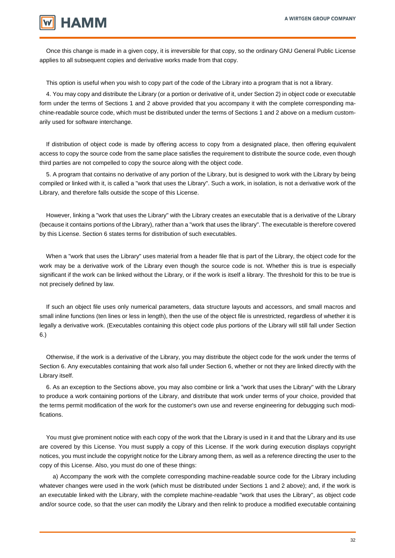

 Once this change is made in a given copy, it is irreversible for that copy, so the ordinary GNU General Public License applies to all subsequent copies and derivative works made from that copy.

This option is useful when you wish to copy part of the code of the Library into a program that is not a library.

 4. You may copy and distribute the Library (or a portion or derivative of it, under Section 2) in object code or executable form under the terms of Sections 1 and 2 above provided that you accompany it with the complete corresponding machine-readable source code, which must be distributed under the terms of Sections 1 and 2 above on a medium customarily used for software interchange.

 If distribution of object code is made by offering access to copy from a designated place, then offering equivalent access to copy the source code from the same place satisfies the requirement to distribute the source code, even though third parties are not compelled to copy the source along with the object code.

 5. A program that contains no derivative of any portion of the Library, but is designed to work with the Library by being compiled or linked with it, is called a "work that uses the Library". Such a work, in isolation, is not a derivative work of the Library, and therefore falls outside the scope of this License.

 However, linking a "work that uses the Library" with the Library creates an executable that is a derivative of the Library (because it contains portions of the Library), rather than a "work that uses the library". The executable is therefore covered by this License. Section 6 states terms for distribution of such executables.

 When a "work that uses the Library" uses material from a header file that is part of the Library, the object code for the work may be a derivative work of the Library even though the source code is not. Whether this is true is especially significant if the work can be linked without the Library, or if the work is itself a library. The threshold for this to be true is not precisely defined by law.

 If such an object file uses only numerical parameters, data structure layouts and accessors, and small macros and small inline functions (ten lines or less in length), then the use of the object file is unrestricted, regardless of whether it is legally a derivative work. (Executables containing this object code plus portions of the Library will still fall under Section 6.)

 Otherwise, if the work is a derivative of the Library, you may distribute the object code for the work under the terms of Section 6. Any executables containing that work also fall under Section 6, whether or not they are linked directly with the Library itself.

 6. As an exception to the Sections above, you may also combine or link a "work that uses the Library" with the Library to produce a work containing portions of the Library, and distribute that work under terms of your choice, provided that the terms permit modification of the work for the customer's own use and reverse engineering for debugging such modifications.

 You must give prominent notice with each copy of the work that the Library is used in it and that the Library and its use are covered by this License. You must supply a copy of this License. If the work during execution displays copyright notices, you must include the copyright notice for the Library among them, as well as a reference directing the user to the copy of this License. Also, you must do one of these things:

 a) Accompany the work with the complete corresponding machine-readable source code for the Library including whatever changes were used in the work (which must be distributed under Sections 1 and 2 above); and, if the work is an executable linked with the Library, with the complete machine-readable "work that uses the Library", as object code and/or source code, so that the user can modify the Library and then relink to produce a modified executable containing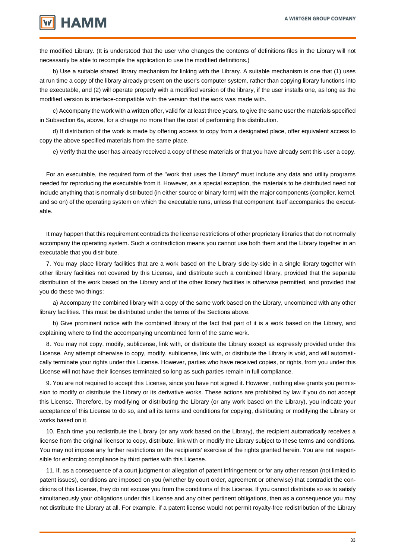

the modified Library. (It is understood that the user who changes the contents of definitions files in the Library will not necessarily be able to recompile the application to use the modified definitions.)

 b) Use a suitable shared library mechanism for linking with the Library. A suitable mechanism is one that (1) uses at run time a copy of the library already present on the user's computer system, rather than copying library functions into the executable, and (2) will operate properly with a modified version of the library, if the user installs one, as long as the modified version is interface-compatible with the version that the work was made with.

 c) Accompany the work with a written offer, valid for at least three years, to give the same user the materials specified in Subsection 6a, above, for a charge no more than the cost of performing this distribution.

 d) If distribution of the work is made by offering access to copy from a designated place, offer equivalent access to copy the above specified materials from the same place.

e) Verify that the user has already received a copy of these materials or that you have already sent this user a copy.

 For an executable, the required form of the "work that uses the Library" must include any data and utility programs needed for reproducing the executable from it. However, as a special exception, the materials to be distributed need not include anything that is normally distributed (in either source or binary form) with the major components (compiler, kernel, and so on) of the operating system on which the executable runs, unless that component itself accompanies the executable.

 It may happen that this requirement contradicts the license restrictions of other proprietary libraries that do not normally accompany the operating system. Such a contradiction means you cannot use both them and the Library together in an executable that you distribute.

 7. You may place library facilities that are a work based on the Library side-by-side in a single library together with other library facilities not covered by this License, and distribute such a combined library, provided that the separate distribution of the work based on the Library and of the other library facilities is otherwise permitted, and provided that you do these two things:

 a) Accompany the combined library with a copy of the same work based on the Library, uncombined with any other library facilities. This must be distributed under the terms of the Sections above.

 b) Give prominent notice with the combined library of the fact that part of it is a work based on the Library, and explaining where to find the accompanying uncombined form of the same work.

 8. You may not copy, modify, sublicense, link with, or distribute the Library except as expressly provided under this License. Any attempt otherwise to copy, modify, sublicense, link with, or distribute the Library is void, and will automatically terminate your rights under this License. However, parties who have received copies, or rights, from you under this License will not have their licenses terminated so long as such parties remain in full compliance.

 9. You are not required to accept this License, since you have not signed it. However, nothing else grants you permission to modify or distribute the Library or its derivative works. These actions are prohibited by law if you do not accept this License. Therefore, by modifying or distributing the Library (or any work based on the Library), you indicate your acceptance of this License to do so, and all its terms and conditions for copying, distributing or modifying the Library or works based on it.

 10. Each time you redistribute the Library (or any work based on the Library), the recipient automatically receives a license from the original licensor to copy, distribute, link with or modify the Library subject to these terms and conditions. You may not impose any further restrictions on the recipients' exercise of the rights granted herein. You are not responsible for enforcing compliance by third parties with this License.

 11. If, as a consequence of a court judgment or allegation of patent infringement or for any other reason (not limited to patent issues), conditions are imposed on you (whether by court order, agreement or otherwise) that contradict the conditions of this License, they do not excuse you from the conditions of this License. If you cannot distribute so as to satisfy simultaneously your obligations under this License and any other pertinent obligations, then as a consequence you may not distribute the Library at all. For example, if a patent license would not permit royalty-free redistribution of the Library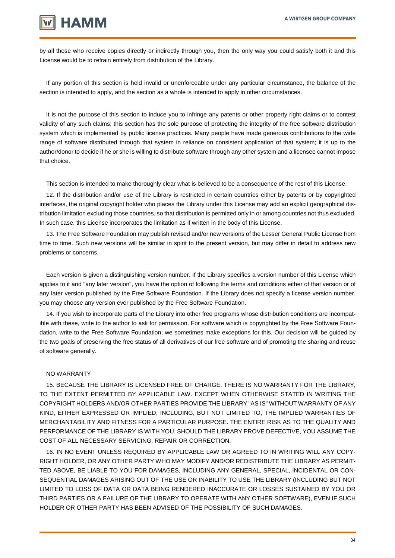

by all those who receive copies directly or indirectly through you, then the only way you could satisfy both it and this License would be to refrain entirely from distribution of the Library.

 If any portion of this section is held invalid or unenforceable under any particular circumstance, the balance of the section is intended to apply, and the section as a whole is intended to apply in other circumstances.

 It is not the purpose of this section to induce you to infringe any patents or other property right claims or to contest validity of any such claims; this section has the sole purpose of protecting the integrity of the free software distribution system which is implemented by public license practices. Many people have made generous contributions to the wide range of software distributed through that system in reliance on consistent application of that system; it is up to the author/donor to decide if he or she is willing to distribute software through any other system and a licensee cannot impose that choice.

This section is intended to make thoroughly clear what is believed to be a consequence of the rest of this License.

 12. If the distribution and/or use of the Library is restricted in certain countries either by patents or by copyrighted interfaces, the original copyright holder who places the Library under this License may add an explicit geographical distribution limitation excluding those countries, so that distribution is permitted only in or among countries not thus excluded. In such case, this License incorporates the limitation as if written in the body of this License.

 13. The Free Software Foundation may publish revised and/or new versions of the Lesser General Public License from time to time. Such new versions will be similar in spirit to the present version, but may differ in detail to address new problems or concerns.

 Each version is given a distinguishing version number. If the Library specifies a version number of this License which applies to it and "any later version", you have the option of following the terms and conditions either of that version or of any later version published by the Free Software Foundation. If the Library does not specify a license version number, you may choose any version ever published by the Free Software Foundation.

 14. If you wish to incorporate parts of the Library into other free programs whose distribution conditions are incompatible with these, write to the author to ask for permission. For software which is copyrighted by the Free Software Foundation, write to the Free Software Foundation; we sometimes make exceptions for this. Our decision will be guided by the two goals of preserving the free status of all derivatives of our free software and of promoting the sharing and reuse of software generally.

### NO WARRANTY

 15. BECAUSE THE LIBRARY IS LICENSED FREE OF CHARGE, THERE IS NO WARRANTY FOR THE LIBRARY, TO THE EXTENT PERMITTED BY APPLICABLE LAW. EXCEPT WHEN OTHERWISE STATED IN WRITING THE COPYRIGHT HOLDERS AND/OR OTHER PARTIES PROVIDE THE LIBRARY "AS IS" WITHOUT WARRANTY OF ANY KIND, EITHER EXPRESSED OR IMPLIED, INCLUDING, BUT NOT LIMITED TO, THE IMPLIED WARRANTIES OF MERCHANTABILITY AND FITNESS FOR A PARTICULAR PURPOSE. THE ENTIRE RISK AS TO THE QUALITY AND PERFORMANCE OF THE LIBRARY IS WITH YOU. SHOULD THE LIBRARY PROVE DEFECTIVE, YOU ASSUME THE COST OF ALL NECESSARY SERVICING, REPAIR OR CORRECTION.

 16. IN NO EVENT UNLESS REQUIRED BY APPLICABLE LAW OR AGREED TO IN WRITING WILL ANY COPY-RIGHT HOLDER, OR ANY OTHER PARTY WHO MAY MODIFY AND/OR REDISTRIBUTE THE LIBRARY AS PERMIT-TED ABOVE, BE LIABLE TO YOU FOR DAMAGES, INCLUDING ANY GENERAL, SPECIAL, INCIDENTAL OR CON-SEQUENTIAL DAMAGES ARISING OUT OF THE USE OR INABILITY TO USE THE LIBRARY (INCLUDING BUT NOT LIMITED TO LOSS OF DATA OR DATA BEING RENDERED INACCURATE OR LOSSES SUSTAINED BY YOU OR THIRD PARTIES OR A FAILURE OF THE LIBRARY TO OPERATE WITH ANY OTHER SOFTWARE), EVEN IF SUCH HOLDER OR OTHER PARTY HAS BEEN ADVISED OF THE POSSIBILITY OF SUCH DAMAGES.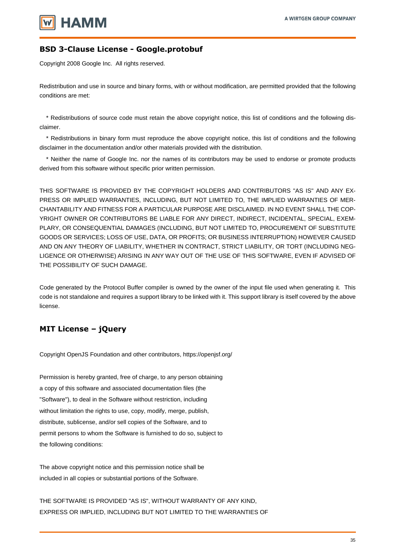

### **BSD 3-Clause License - Google.protobuf**

Copyright 2008 Google Inc. All rights reserved.

Redistribution and use in source and binary forms, with or without modification, are permitted provided that the following conditions are met:

 \* Redistributions of source code must retain the above copyright notice, this list of conditions and the following disclaimer.

 \* Redistributions in binary form must reproduce the above copyright notice, this list of conditions and the following disclaimer in the documentation and/or other materials provided with the distribution.

 \* Neither the name of Google Inc. nor the names of its contributors may be used to endorse or promote products derived from this software without specific prior written permission.

THIS SOFTWARE IS PROVIDED BY THE COPYRIGHT HOLDERS AND CONTRIBUTORS "AS IS" AND ANY EX-PRESS OR IMPLIED WARRANTIES, INCLUDING, BUT NOT LIMITED TO, THE IMPLIED WARRANTIES OF MER-CHANTABILITY AND FITNESS FOR A PARTICULAR PURPOSE ARE DISCLAIMED. IN NO EVENT SHALL THE COP-YRIGHT OWNER OR CONTRIBUTORS BE LIABLE FOR ANY DIRECT, INDIRECT, INCIDENTAL, SPECIAL, EXEM-PLARY, OR CONSEQUENTIAL DAMAGES (INCLUDING, BUT NOT LIMITED TO, PROCUREMENT OF SUBSTITUTE GOODS OR SERVICES; LOSS OF USE, DATA, OR PROFITS; OR BUSINESS INTERRUPTION) HOWEVER CAUSED AND ON ANY THEORY OF LIABILITY, WHETHER IN CONTRACT, STRICT LIABILITY, OR TORT (INCLUDING NEG-LIGENCE OR OTHERWISE) ARISING IN ANY WAY OUT OF THE USE OF THIS SOFTWARE, EVEN IF ADVISED OF THE POSSIBILITY OF SUCH DAMAGE.

Code generated by the Protocol Buffer compiler is owned by the owner of the input file used when generating it. This code is not standalone and requires a support library to be linked with it. This support library is itself covered by the above license.

## **MIT License – jQuery**

Copyright OpenJS Foundation and other contributors, https://openjsf.org/

Permission is hereby granted, free of charge, to any person obtaining a copy of this software and associated documentation files (the "Software"), to deal in the Software without restriction, including without limitation the rights to use, copy, modify, merge, publish, distribute, sublicense, and/or sell copies of the Software, and to permit persons to whom the Software is furnished to do so, subject to the following conditions:

The above copyright notice and this permission notice shall be included in all copies or substantial portions of the Software.

THE SOFTWARE IS PROVIDED "AS IS", WITHOUT WARRANTY OF ANY KIND, EXPRESS OR IMPLIED, INCLUDING BUT NOT LIMITED TO THE WARRANTIES OF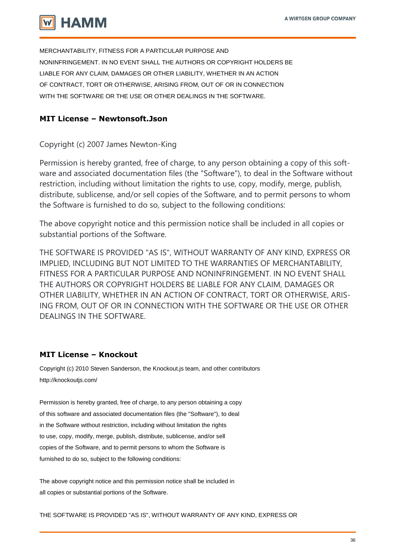

MERCHANTABILITY, FITNESS FOR A PARTICULAR PURPOSE AND NONINFRINGEMENT. IN NO EVENT SHALL THE AUTHORS OR COPYRIGHT HOLDERS BE LIABLE FOR ANY CLAIM, DAMAGES OR OTHER LIABILITY, WHETHER IN AN ACTION OF CONTRACT, TORT OR OTHERWISE, ARISING FROM, OUT OF OR IN CONNECTION WITH THE SOFTWARE OR THE USE OR OTHER DEALINGS IN THE SOFTWARE.

## **MIT License – Newtonsoft.Json**

## Copyright (c) 2007 James Newton-King

Permission is hereby granted, free of charge, to any person obtaining a copy of this software and associated documentation files (the "Software"), to deal in the Software without restriction, including without limitation the rights to use, copy, modify, merge, publish, distribute, sublicense, and/or sell copies of the Software, and to permit persons to whom the Software is furnished to do so, subject to the following conditions:

The above copyright notice and this permission notice shall be included in all copies or substantial portions of the Software.

THE SOFTWARE IS PROVIDED "AS IS", WITHOUT WARRANTY OF ANY KIND, EXPRESS OR IMPLIED, INCLUDING BUT NOT LIMITED TO THE WARRANTIES OF MERCHANTABILITY, FITNESS FOR A PARTICULAR PURPOSE AND NONINFRINGEMENT. IN NO EVENT SHALL THE AUTHORS OR COPYRIGHT HOLDERS BE LIABLE FOR ANY CLAIM, DAMAGES OR OTHER LIABILITY, WHETHER IN AN ACTION OF CONTRACT, TORT OR OTHERWISE, ARIS-ING FROM, OUT OF OR IN CONNECTION WITH THE SOFTWARE OR THE USE OR OTHER DEALINGS IN THE SOFTWARE.

## **MIT License – Knockout**

Copyright (c) 2010 Steven Sanderson, the Knockout.js team, and other contributors http://knockoutjs.com/

Permission is hereby granted, free of charge, to any person obtaining a copy of this software and associated documentation files (the "Software"), to deal in the Software without restriction, including without limitation the rights to use, copy, modify, merge, publish, distribute, sublicense, and/or sell copies of the Software, and to permit persons to whom the Software is furnished to do so, subject to the following conditions:

The above copyright notice and this permission notice shall be included in all copies or substantial portions of the Software.

THE SOFTWARE IS PROVIDED "AS IS", WITHOUT WARRANTY OF ANY KIND, EXPRESS OR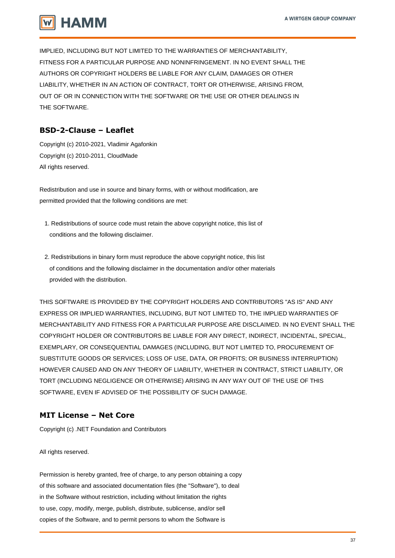

IMPLIED, INCLUDING BUT NOT LIMITED TO THE WARRANTIES OF MERCHANTABILITY, FITNESS FOR A PARTICULAR PURPOSE AND NONINFRINGEMENT. IN NO EVENT SHALL THE AUTHORS OR COPYRIGHT HOLDERS BE LIABLE FOR ANY CLAIM, DAMAGES OR OTHER LIABILITY, WHETHER IN AN ACTION OF CONTRACT, TORT OR OTHERWISE, ARISING FROM, OUT OF OR IN CONNECTION WITH THE SOFTWARE OR THE USE OR OTHER DEALINGS IN THE SOFTWARE.

## **BSD-2-Clause – Leaflet**

Copyright (c) 2010-2021, Vladimir Agafonkin Copyright (c) 2010-2011, CloudMade All rights reserved.

Redistribution and use in source and binary forms, with or without modification, are permitted provided that the following conditions are met:

- 1. Redistributions of source code must retain the above copyright notice, this list of conditions and the following disclaimer.
- 2. Redistributions in binary form must reproduce the above copyright notice, this list of conditions and the following disclaimer in the documentation and/or other materials provided with the distribution.

THIS SOFTWARE IS PROVIDED BY THE COPYRIGHT HOLDERS AND CONTRIBUTORS "AS IS" AND ANY EXPRESS OR IMPLIED WARRANTIES, INCLUDING, BUT NOT LIMITED TO, THE IMPLIED WARRANTIES OF MERCHANTABILITY AND FITNESS FOR A PARTICULAR PURPOSE ARE DISCLAIMED. IN NO EVENT SHALL THE COPYRIGHT HOLDER OR CONTRIBUTORS BE LIABLE FOR ANY DIRECT, INDIRECT, INCIDENTAL, SPECIAL, EXEMPLARY, OR CONSEQUENTIAL DAMAGES (INCLUDING, BUT NOT LIMITED TO, PROCUREMENT OF SUBSTITUTE GOODS OR SERVICES; LOSS OF USE, DATA, OR PROFITS; OR BUSINESS INTERRUPTION) HOWEVER CAUSED AND ON ANY THEORY OF LIABILITY, WHETHER IN CONTRACT, STRICT LIABILITY, OR TORT (INCLUDING NEGLIGENCE OR OTHERWISE) ARISING IN ANY WAY OUT OF THE USE OF THIS SOFTWARE, EVEN IF ADVISED OF THE POSSIBILITY OF SUCH DAMAGE.

## **MIT License – Net Core**

Copyright (c) .NET Foundation and Contributors

All rights reserved.

Permission is hereby granted, free of charge, to any person obtaining a copy of this software and associated documentation files (the "Software"), to deal in the Software without restriction, including without limitation the rights to use, copy, modify, merge, publish, distribute, sublicense, and/or sell copies of the Software, and to permit persons to whom the Software is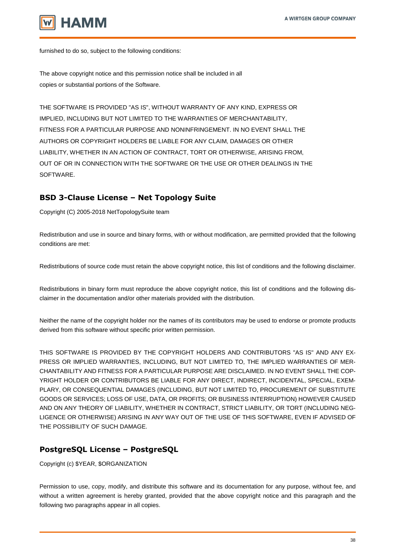

furnished to do so, subject to the following conditions:

The above copyright notice and this permission notice shall be included in all copies or substantial portions of the Software.

THE SOFTWARE IS PROVIDED "AS IS", WITHOUT WARRANTY OF ANY KIND, EXPRESS OR IMPLIED, INCLUDING BUT NOT LIMITED TO THE WARRANTIES OF MERCHANTABILITY, FITNESS FOR A PARTICULAR PURPOSE AND NONINFRINGEMENT. IN NO EVENT SHALL THE AUTHORS OR COPYRIGHT HOLDERS BE LIABLE FOR ANY CLAIM, DAMAGES OR OTHER LIABILITY, WHETHER IN AN ACTION OF CONTRACT, TORT OR OTHERWISE, ARISING FROM, OUT OF OR IN CONNECTION WITH THE SOFTWARE OR THE USE OR OTHER DEALINGS IN THE SOFTWARE.

## **BSD 3-Clause License – Net Topology Suite**

Copyright (C) 2005-2018 NetTopologySuite team

Redistribution and use in source and binary forms, with or without modification, are permitted provided that the following conditions are met:

Redistributions of source code must retain the above copyright notice, this list of conditions and the following disclaimer.

Redistributions in binary form must reproduce the above copyright notice, this list of conditions and the following disclaimer in the documentation and/or other materials provided with the distribution.

Neither the name of the copyright holder nor the names of its contributors may be used to endorse or promote products derived from this software without specific prior written permission.

THIS SOFTWARE IS PROVIDED BY THE COPYRIGHT HOLDERS AND CONTRIBUTORS "AS IS" AND ANY EX-PRESS OR IMPLIED WARRANTIES, INCLUDING, BUT NOT LIMITED TO, THE IMPLIED WARRANTIES OF MER-CHANTABILITY AND FITNESS FOR A PARTICULAR PURPOSE ARE DISCLAIMED. IN NO EVENT SHALL THE COP-YRIGHT HOLDER OR CONTRIBUTORS BE LIABLE FOR ANY DIRECT, INDIRECT, INCIDENTAL, SPECIAL, EXEM-PLARY, OR CONSEQUENTIAL DAMAGES (INCLUDING, BUT NOT LIMITED TO, PROCUREMENT OF SUBSTITUTE GOODS OR SERVICES; LOSS OF USE, DATA, OR PROFITS; OR BUSINESS INTERRUPTION) HOWEVER CAUSED AND ON ANY THEORY OF LIABILITY, WHETHER IN CONTRACT, STRICT LIABILITY, OR TORT (INCLUDING NEG-LIGENCE OR OTHERWISE) ARISING IN ANY WAY OUT OF THE USE OF THIS SOFTWARE, EVEN IF ADVISED OF THE POSSIBILITY OF SUCH DAMAGE.

## **PostgreSQL License – PostgreSQL**

Copyright (c) \$YEAR, \$ORGANIZATION

Permission to use, copy, modify, and distribute this software and its documentation for any purpose, without fee, and without a written agreement is hereby granted, provided that the above copyright notice and this paragraph and the following two paragraphs appear in all copies.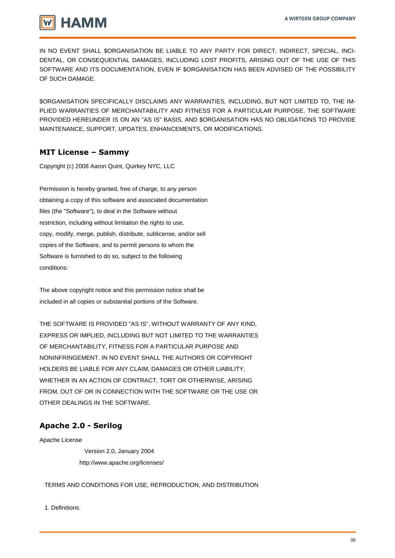

IN NO EVENT SHALL \$ORGANISATION BE LIABLE TO ANY PARTY FOR DIRECT, INDIRECT, SPECIAL, INCI-DENTAL, OR CONSEQUENTIAL DAMAGES, INCLUDING LOST PROFITS, ARISING OUT OF THE USE OF THIS SOFTWARE AND ITS DOCUMENTATION, EVEN IF \$ORGANISATION HAS BEEN ADVISED OF THE POSSIBILITY OF SUCH DAMAGE.

\$ORGANISATION SPECIFICALLY DISCLAIMS ANY WARRANTIES, INCLUDING, BUT NOT LIMITED TO, THE IM-PLIED WARRANTIES OF MERCHANTABILITY AND FITNESS FOR A PARTICULAR PURPOSE. THE SOFTWARE PROVIDED HEREUNDER IS ON AN "AS IS" BASIS, AND \$ORGANISATION HAS NO OBLIGATIONS TO PROVIDE MAINTENANCE, SUPPORT, UPDATES, ENHANCEMENTS, OR MODIFICATIONS.

## **MIT License – Sammy**

Copyright (c) 2008 Aaron Quint, Quirkey NYC, LLC

Permission is hereby granted, free of charge, to any person obtaining a copy of this software and associated documentation files (the "Software"), to deal in the Software without restriction, including without limitation the rights to use, copy, modify, merge, publish, distribute, sublicense, and/or sell copies of the Software, and to permit persons to whom the Software is furnished to do so, subject to the following conditions:

The above copyright notice and this permission notice shall be included in all copies or substantial portions of the Software.

THE SOFTWARE IS PROVIDED "AS IS", WITHOUT WARRANTY OF ANY KIND, EXPRESS OR IMPLIED, INCLUDING BUT NOT LIMITED TO THE WARRANTIES OF MERCHANTABILITY, FITNESS FOR A PARTICULAR PURPOSE AND NONINFRINGEMENT. IN NO EVENT SHALL THE AUTHORS OR COPYRIGHT HOLDERS BE LIABLE FOR ANY CLAIM, DAMAGES OR OTHER LIABILITY, WHETHER IN AN ACTION OF CONTRACT, TORT OR OTHERWISE, ARISING FROM, OUT OF OR IN CONNECTION WITH THE SOFTWARE OR THE USE OR OTHER DEALINGS IN THE SOFTWARE.

## **Apache 2.0 - Serilog**

Apache License

 Version 2.0, January 2004 http://www.apache.org/licenses/

TERMS AND CONDITIONS FOR USE, REPRODUCTION, AND DISTRIBUTION

1. Definitions.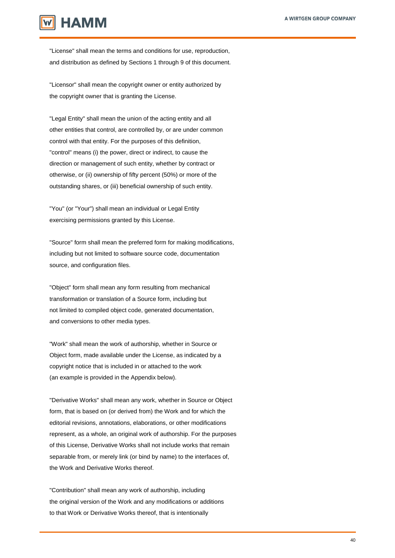## **HAMM**

 "License" shall mean the terms and conditions for use, reproduction, and distribution as defined by Sections 1 through 9 of this document.

 "Licensor" shall mean the copyright owner or entity authorized by the copyright owner that is granting the License.

 "Legal Entity" shall mean the union of the acting entity and all other entities that control, are controlled by, or are under common control with that entity. For the purposes of this definition, "control" means (i) the power, direct or indirect, to cause the direction or management of such entity, whether by contract or otherwise, or (ii) ownership of fifty percent (50%) or more of the outstanding shares, or (iii) beneficial ownership of such entity.

 "You" (or "Your") shall mean an individual or Legal Entity exercising permissions granted by this License.

 "Source" form shall mean the preferred form for making modifications, including but not limited to software source code, documentation source, and configuration files.

 "Object" form shall mean any form resulting from mechanical transformation or translation of a Source form, including but not limited to compiled object code, generated documentation, and conversions to other media types.

 "Work" shall mean the work of authorship, whether in Source or Object form, made available under the License, as indicated by a copyright notice that is included in or attached to the work (an example is provided in the Appendix below).

 "Derivative Works" shall mean any work, whether in Source or Object form, that is based on (or derived from) the Work and for which the editorial revisions, annotations, elaborations, or other modifications represent, as a whole, an original work of authorship. For the purposes of this License, Derivative Works shall not include works that remain separable from, or merely link (or bind by name) to the interfaces of, the Work and Derivative Works thereof.

 "Contribution" shall mean any work of authorship, including the original version of the Work and any modifications or additions to that Work or Derivative Works thereof, that is intentionally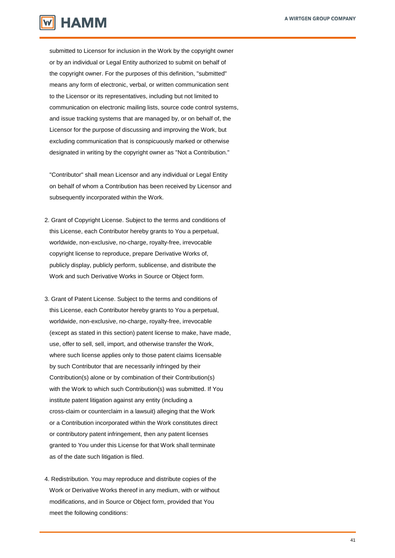

 submitted to Licensor for inclusion in the Work by the copyright owner or by an individual or Legal Entity authorized to submit on behalf of the copyright owner. For the purposes of this definition, "submitted" means any form of electronic, verbal, or written communication sent to the Licensor or its representatives, including but not limited to communication on electronic mailing lists, source code control systems, and issue tracking systems that are managed by, or on behalf of, the Licensor for the purpose of discussing and improving the Work, but excluding communication that is conspicuously marked or otherwise designated in writing by the copyright owner as "Not a Contribution."

 "Contributor" shall mean Licensor and any individual or Legal Entity on behalf of whom a Contribution has been received by Licensor and subsequently incorporated within the Work.

- 2. Grant of Copyright License. Subject to the terms and conditions of this License, each Contributor hereby grants to You a perpetual, worldwide, non-exclusive, no-charge, royalty-free, irrevocable copyright license to reproduce, prepare Derivative Works of, publicly display, publicly perform, sublicense, and distribute the Work and such Derivative Works in Source or Object form.
- 3. Grant of Patent License. Subject to the terms and conditions of this License, each Contributor hereby grants to You a perpetual, worldwide, non-exclusive, no-charge, royalty-free, irrevocable (except as stated in this section) patent license to make, have made, use, offer to sell, sell, import, and otherwise transfer the Work, where such license applies only to those patent claims licensable by such Contributor that are necessarily infringed by their Contribution(s) alone or by combination of their Contribution(s) with the Work to which such Contribution(s) was submitted. If You institute patent litigation against any entity (including a cross-claim or counterclaim in a lawsuit) alleging that the Work or a Contribution incorporated within the Work constitutes direct or contributory patent infringement, then any patent licenses granted to You under this License for that Work shall terminate as of the date such litigation is filed.
- 4. Redistribution. You may reproduce and distribute copies of the Work or Derivative Works thereof in any medium, with or without modifications, and in Source or Object form, provided that You meet the following conditions: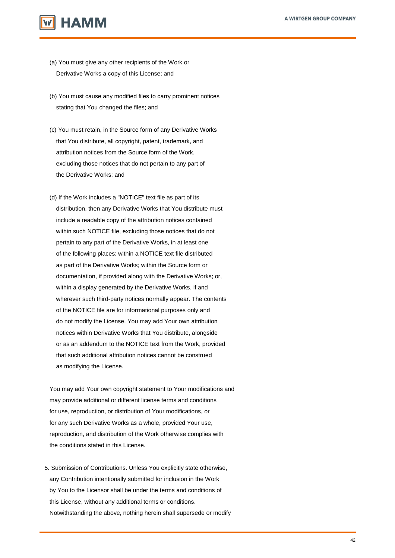# НАММ

- (a) You must give any other recipients of the Work or Derivative Works a copy of this License; and
- (b) You must cause any modified files to carry prominent notices stating that You changed the files; and
- (c) You must retain, in the Source form of any Derivative Works that You distribute, all copyright, patent, trademark, and attribution notices from the Source form of the Work, excluding those notices that do not pertain to any part of the Derivative Works; and
- (d) If the Work includes a "NOTICE" text file as part of its distribution, then any Derivative Works that You distribute must include a readable copy of the attribution notices contained within such NOTICE file, excluding those notices that do not pertain to any part of the Derivative Works, in at least one of the following places: within a NOTICE text file distributed as part of the Derivative Works; within the Source form or documentation, if provided along with the Derivative Works; or, within a display generated by the Derivative Works, if and wherever such third-party notices normally appear. The contents of the NOTICE file are for informational purposes only and do not modify the License. You may add Your own attribution notices within Derivative Works that You distribute, alongside or as an addendum to the NOTICE text from the Work, provided that such additional attribution notices cannot be construed as modifying the License.

 You may add Your own copyright statement to Your modifications and may provide additional or different license terms and conditions for use, reproduction, or distribution of Your modifications, or for any such Derivative Works as a whole, provided Your use, reproduction, and distribution of the Work otherwise complies with the conditions stated in this License.

 5. Submission of Contributions. Unless You explicitly state otherwise, any Contribution intentionally submitted for inclusion in the Work by You to the Licensor shall be under the terms and conditions of this License, without any additional terms or conditions. Notwithstanding the above, nothing herein shall supersede or modify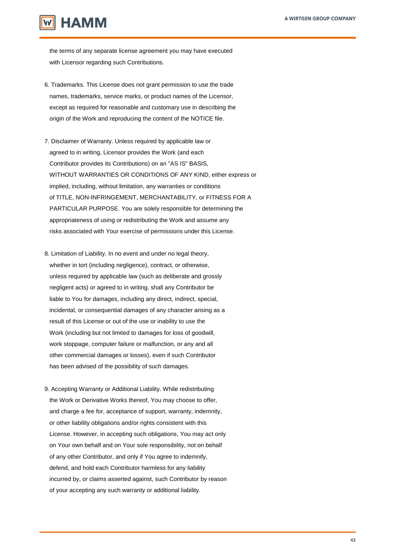# HAMM

 the terms of any separate license agreement you may have executed with Licensor regarding such Contributions.

- 6. Trademarks. This License does not grant permission to use the trade names, trademarks, service marks, or product names of the Licensor, except as required for reasonable and customary use in describing the origin of the Work and reproducing the content of the NOTICE file.
- 7. Disclaimer of Warranty. Unless required by applicable law or agreed to in writing, Licensor provides the Work (and each Contributor provides its Contributions) on an "AS IS" BASIS, WITHOUT WARRANTIES OR CONDITIONS OF ANY KIND, either express or implied, including, without limitation, any warranties or conditions of TITLE, NON-INFRINGEMENT, MERCHANTABILITY, or FITNESS FOR A PARTICULAR PURPOSE. You are solely responsible for determining the appropriateness of using or redistributing the Work and assume any risks associated with Your exercise of permissions under this License.
- 8. Limitation of Liability. In no event and under no legal theory, whether in tort (including negligence), contract, or otherwise, unless required by applicable law (such as deliberate and grossly negligent acts) or agreed to in writing, shall any Contributor be liable to You for damages, including any direct, indirect, special, incidental, or consequential damages of any character arising as a result of this License or out of the use or inability to use the Work (including but not limited to damages for loss of goodwill, work stoppage, computer failure or malfunction, or any and all other commercial damages or losses), even if such Contributor has been advised of the possibility of such damages.
- 9. Accepting Warranty or Additional Liability. While redistributing the Work or Derivative Works thereof, You may choose to offer, and charge a fee for, acceptance of support, warranty, indemnity, or other liability obligations and/or rights consistent with this License. However, in accepting such obligations, You may act only on Your own behalf and on Your sole responsibility, not on behalf of any other Contributor, and only if You agree to indemnify, defend, and hold each Contributor harmless for any liability incurred by, or claims asserted against, such Contributor by reason of your accepting any such warranty or additional liability.